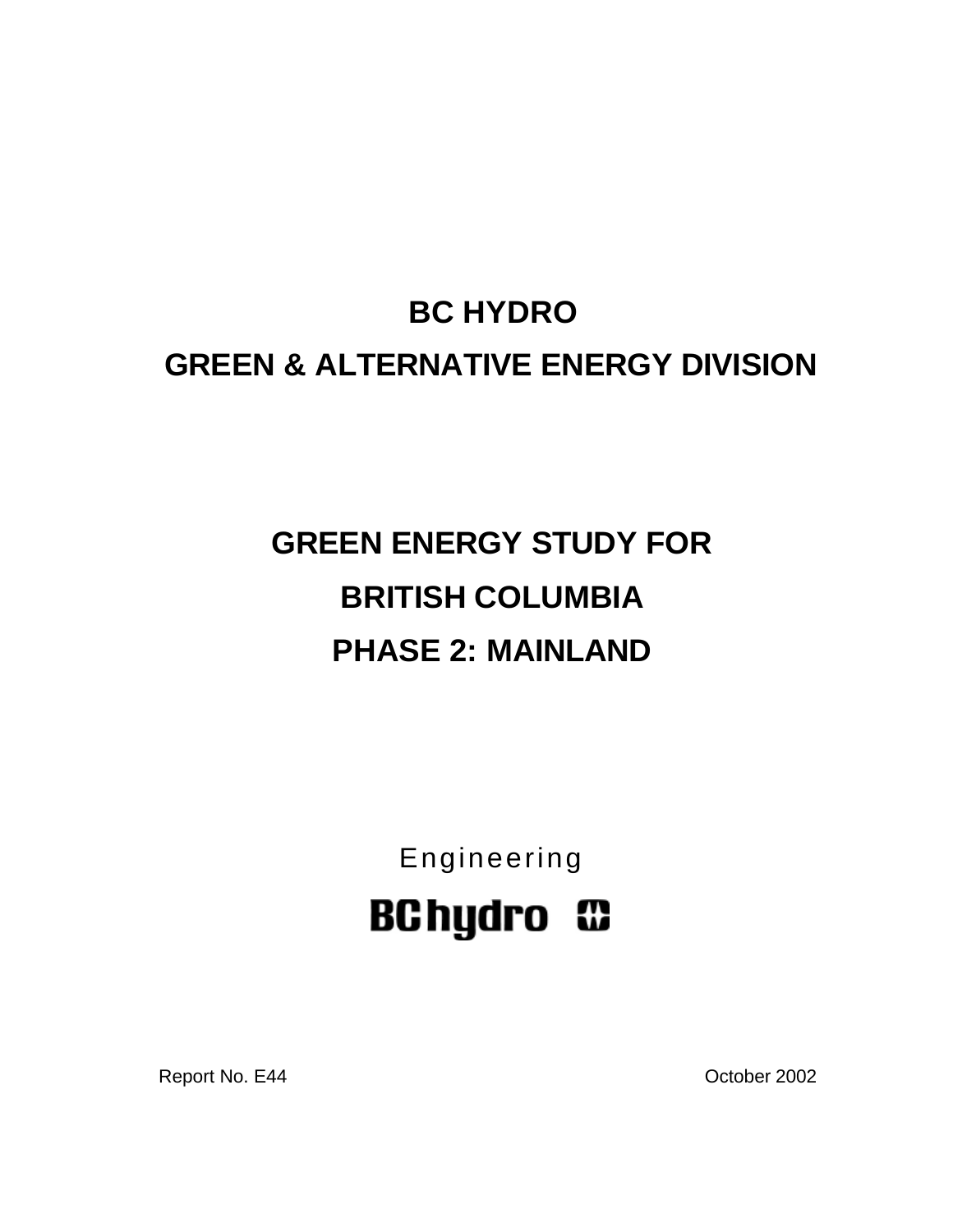# **BC HYDRO GREEN & ALTERNATIVE ENERGY DIVISION**

# **GREEN ENERGY STUDY FOR BRITISH COLUMBIA PHASE 2: MAINLAND**

Engineering **BChydro C** 

Report No. E44 Contract Contract Contract Contract Contract Contract Contract Contract Contract Contract Contract Contract Contract Contract Contract Contract Contract Contract Contract Contract Contract Contract Contract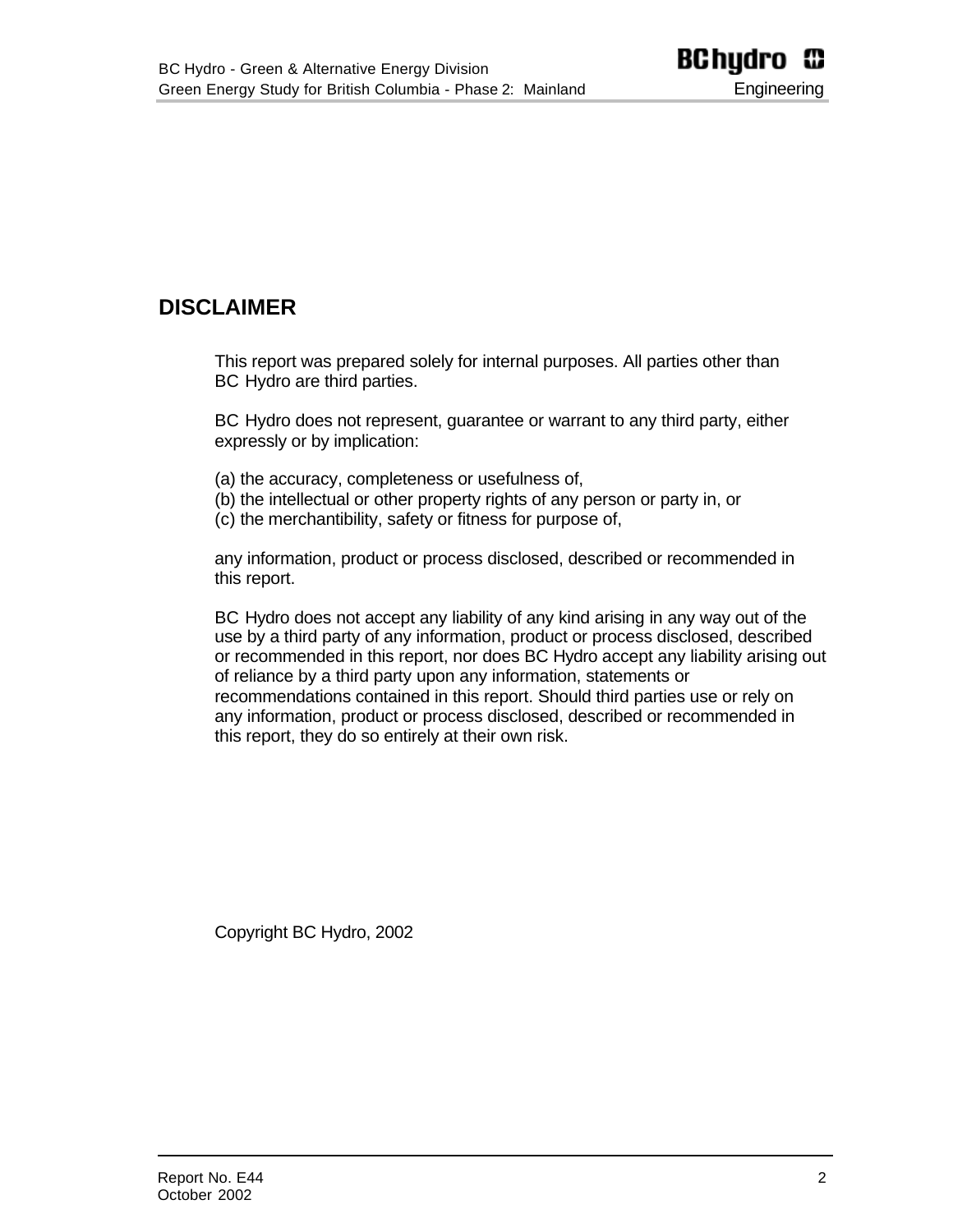## <span id="page-1-0"></span>**DISCLAIMER**

This report was prepared solely for internal purposes. All parties other than BC Hydro are third parties.

BC Hydro does not represent, guarantee or warrant to any third party, either expressly or by implication:

- (a) the accuracy, completeness or usefulness of,
- (b) the intellectual or other property rights of any person or party in, or
- (c) the merchantibility, safety or fitness for purpose of,

any information, product or process disclosed, described or recommended in this report.

BC Hydro does not accept any liability of any kind arising in any way out of the use by a third party of any information, product or process disclosed, described or recommended in this report, nor does BC Hydro accept any liability arising out of reliance by a third party upon any information, statements or recommendations contained in this report. Should third parties use or rely on any information, product or process disclosed, described or recommended in this report, they do so entirely at their own risk.

Copyright BC Hydro, 2002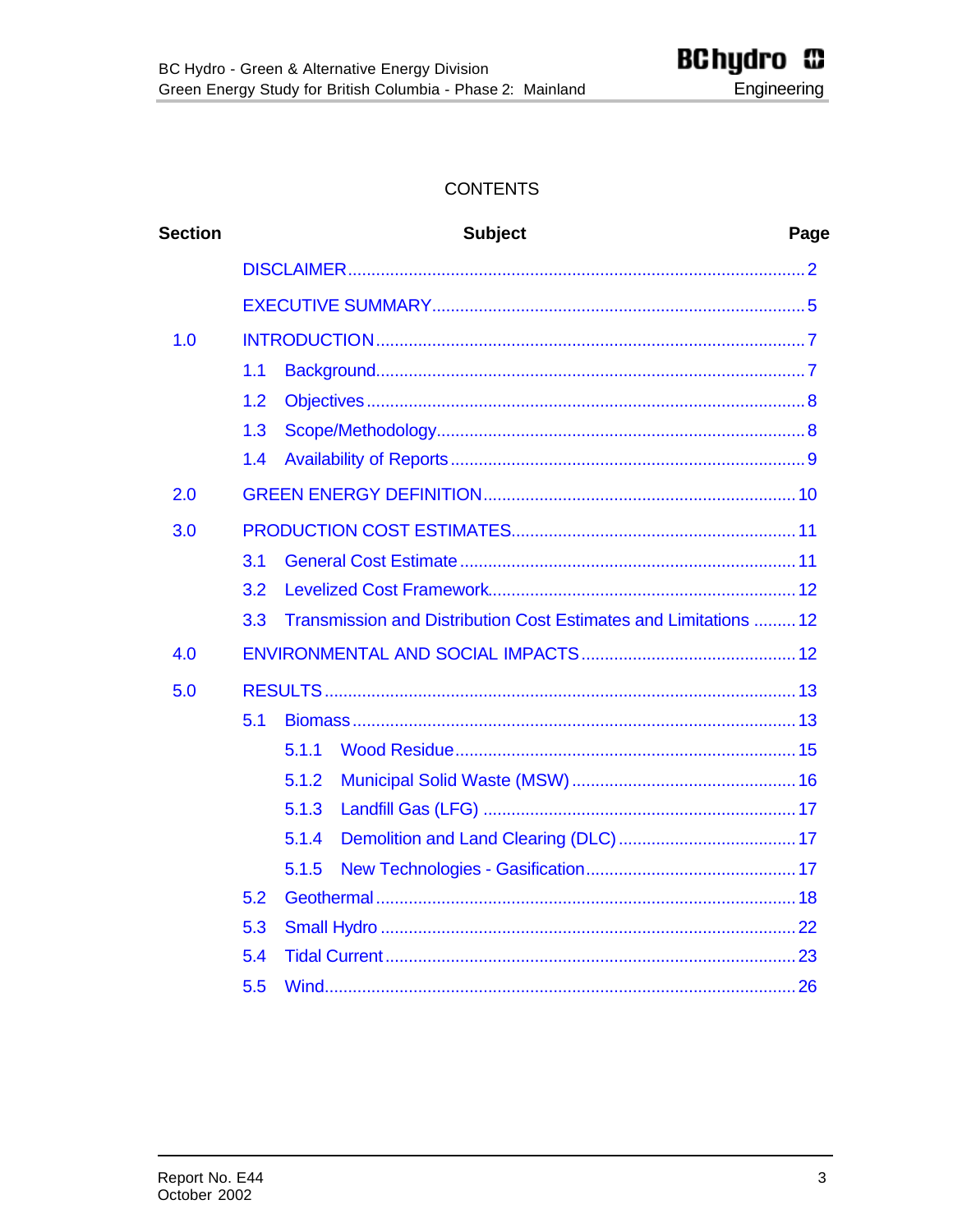#### **CONTENTS**

| <b>Section</b> |     | <b>Subject</b><br>Page                                           |  |  |  |  |
|----------------|-----|------------------------------------------------------------------|--|--|--|--|
|                |     |                                                                  |  |  |  |  |
|                |     |                                                                  |  |  |  |  |
| 1.0            |     |                                                                  |  |  |  |  |
|                | 1.1 |                                                                  |  |  |  |  |
|                | 1.2 |                                                                  |  |  |  |  |
|                | 1.3 |                                                                  |  |  |  |  |
|                | 1.4 |                                                                  |  |  |  |  |
| 2.0            |     |                                                                  |  |  |  |  |
| 3.0            |     |                                                                  |  |  |  |  |
|                | 3.1 |                                                                  |  |  |  |  |
|                | 3.2 |                                                                  |  |  |  |  |
|                | 3.3 | Transmission and Distribution Cost Estimates and Limitations  12 |  |  |  |  |
| 4.0            |     |                                                                  |  |  |  |  |
| 5.0            |     |                                                                  |  |  |  |  |
|                | 5.1 |                                                                  |  |  |  |  |
|                |     | 5.1.1                                                            |  |  |  |  |
|                |     | 5.1.2                                                            |  |  |  |  |
|                |     | 5.1.3                                                            |  |  |  |  |
|                |     | 5.1.4                                                            |  |  |  |  |
|                |     | 5.1.5                                                            |  |  |  |  |
|                | 5.2 |                                                                  |  |  |  |  |
|                | 5.3 |                                                                  |  |  |  |  |
|                | 5.4 |                                                                  |  |  |  |  |
|                | 5.5 |                                                                  |  |  |  |  |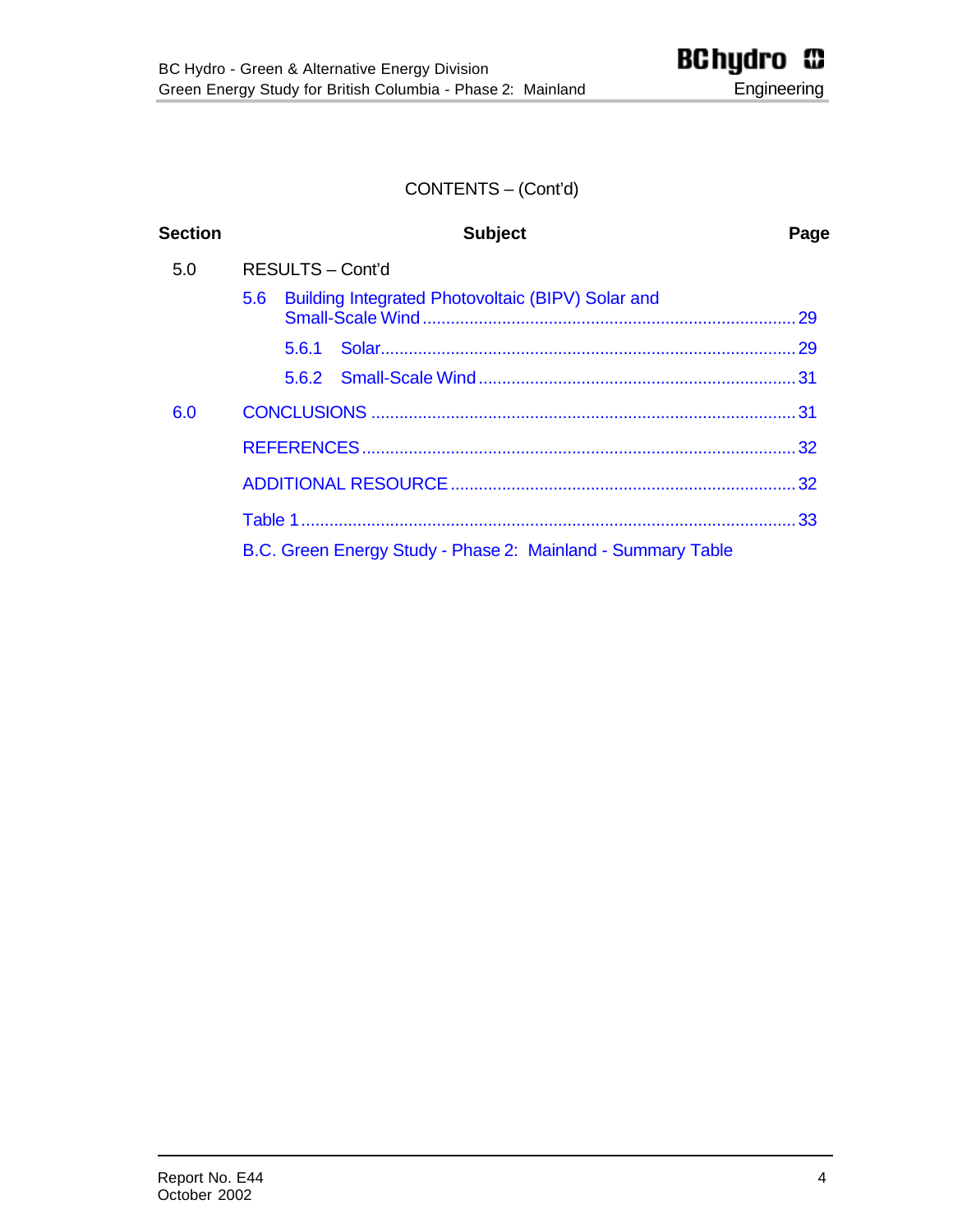## CONTENTS – (Cont'd)

| <b>Section</b> | <b>Subject</b>                                                        | Page |  |  |
|----------------|-----------------------------------------------------------------------|------|--|--|
| 5.0            | RESULTS - Cont'd                                                      |      |  |  |
|                | Building Integrated Photovoltaic (BIPV) Solar and<br>5.6 <sup>2</sup> |      |  |  |
|                | 5.6.1                                                                 |      |  |  |
|                |                                                                       |      |  |  |
| 6.0            |                                                                       |      |  |  |
|                |                                                                       |      |  |  |
|                |                                                                       |      |  |  |
|                |                                                                       |      |  |  |
|                | B.C. Green Energy Study - Phase 2: Mainland - Summary Table           |      |  |  |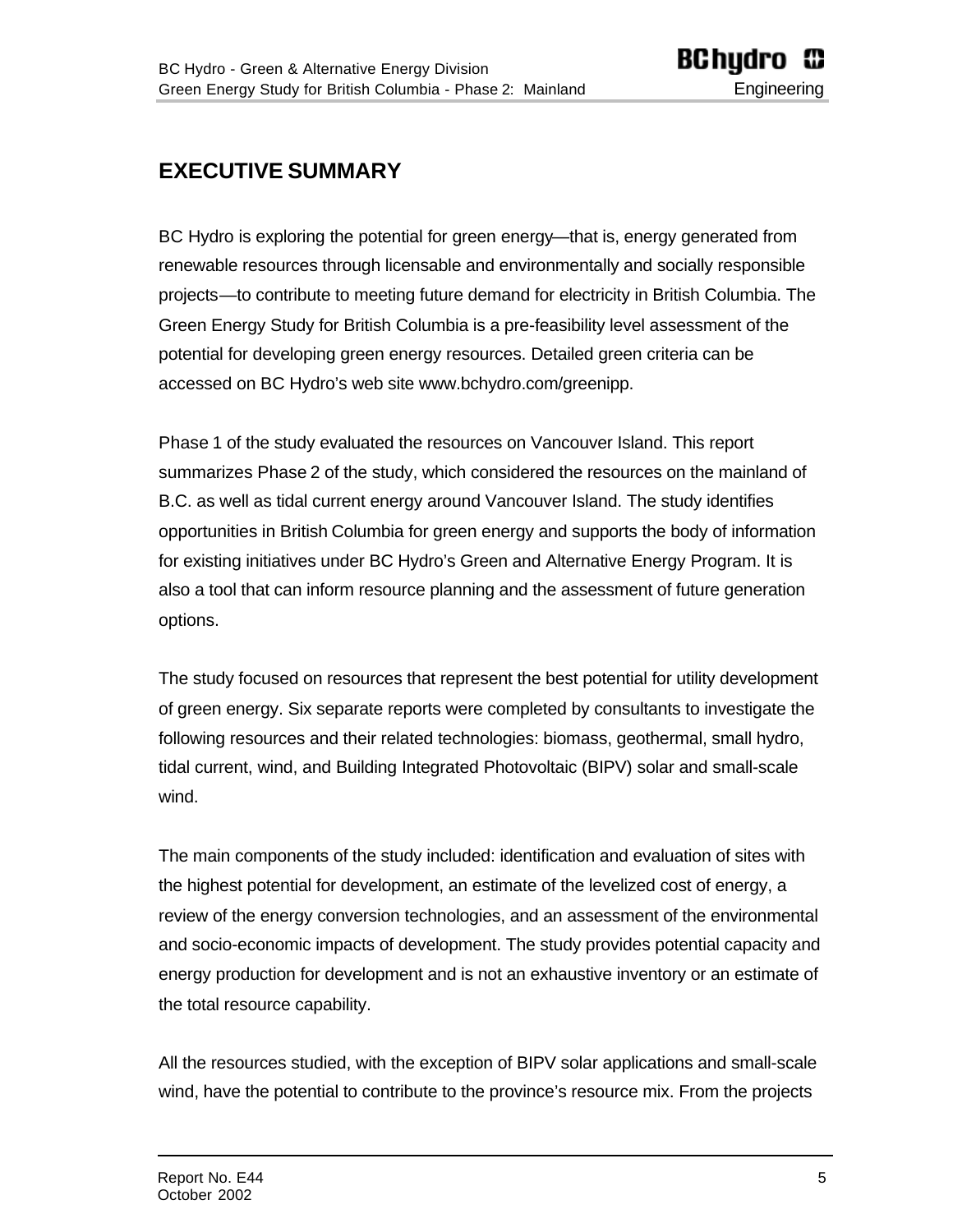# <span id="page-4-0"></span>**EXECUTIVE SUMMARY**

BC Hydro is exploring the potential for green energy—that is, energy generated from renewable resources through licensable and environmentally and socially responsible projects—to contribute to meeting future demand for electricity in British Columbia. The Green Energy Study for British Columbia is a pre-feasibility level assessment of the potential for developing green energy resources. Detailed green criteria can be accessed on BC Hydro's web site www.bchydro.com/greenipp.

Phase 1 of the study evaluated the resources on Vancouver Island. This report summarizes Phase 2 of the study, which considered the resources on the mainland of B.C. as well as tidal current energy around Vancouver Island. The study identifies opportunities in British Columbia for green energy and supports the body of information for existing initiatives under BC Hydro's Green and Alternative Energy Program. It is also a tool that can inform resource planning and the assessment of future generation options.

The study focused on resources that represent the best potential for utility development of green energy. Six separate reports were completed by consultants to investigate the following resources and their related technologies: biomass, geothermal, small hydro, tidal current, wind, and Building Integrated Photovoltaic (BIPV) solar and small-scale wind.

The main components of the study included: identification and evaluation of sites with the highest potential for development, an estimate of the levelized cost of energy, a review of the energy conversion technologies, and an assessment of the environmental and socio-economic impacts of development. The study provides potential capacity and energy production for development and is not an exhaustive inventory or an estimate of the total resource capability.

All the resources studied, with the exception of BIPV solar applications and small-scale wind, have the potential to contribute to the province's resource mix. From the projects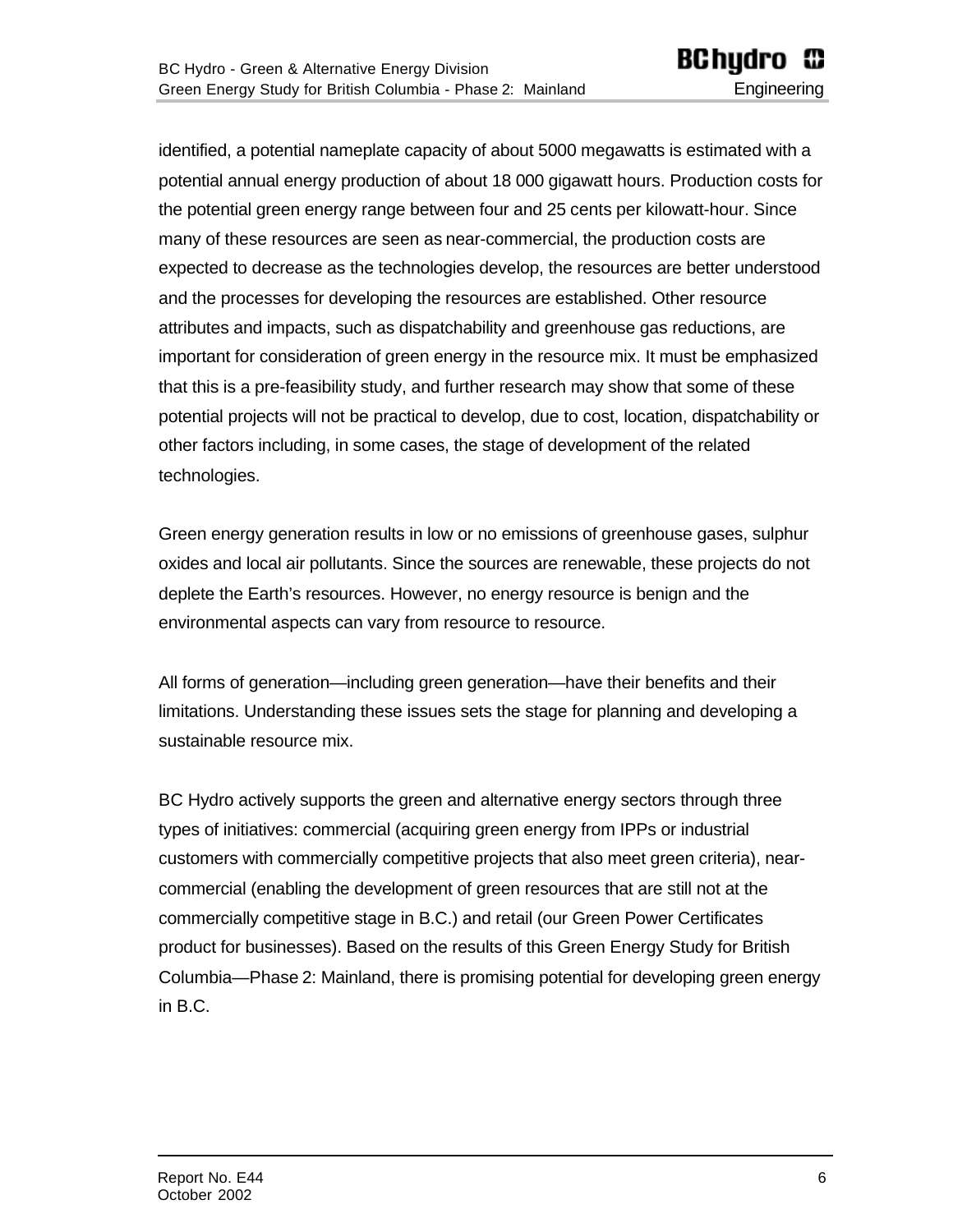identified, a potential nameplate capacity of about 5000 megawatts is estimated with a potential annual energy production of about 18 000 gigawatt hours. Production costs for the potential green energy range between four and 25 cents per kilowatt-hour. Since many of these resources are seen as near-commercial, the production costs are expected to decrease as the technologies develop, the resources are better understood and the processes for developing the resources are established. Other resource attributes and impacts, such as dispatchability and greenhouse gas reductions, are important for consideration of green energy in the resource mix. It must be emphasized that this is a pre-feasibility study, and further research may show that some of these potential projects will not be practical to develop, due to cost, location, dispatchability or other factors including, in some cases, the stage of development of the related technologies.

Green energy generation results in low or no emissions of greenhouse gases, sulphur oxides and local air pollutants. Since the sources are renewable, these projects do not deplete the Earth's resources. However, no energy resource is benign and the environmental aspects can vary from resource to resource.

All forms of generation—including green generation—have their benefits and their limitations. Understanding these issues sets the stage for planning and developing a sustainable resource mix.

BC Hydro actively supports the green and alternative energy sectors through three types of initiatives: commercial (acquiring green energy from IPPs or industrial customers with commercially competitive projects that also meet green criteria), nearcommercial (enabling the development of green resources that are still not at the commercially competitive stage in B.C.) and retail (our Green Power Certificates product for businesses). Based on the results of this Green Energy Study for British Columbia—Phase 2: Mainland, there is promising potential for developing green energy in B.C.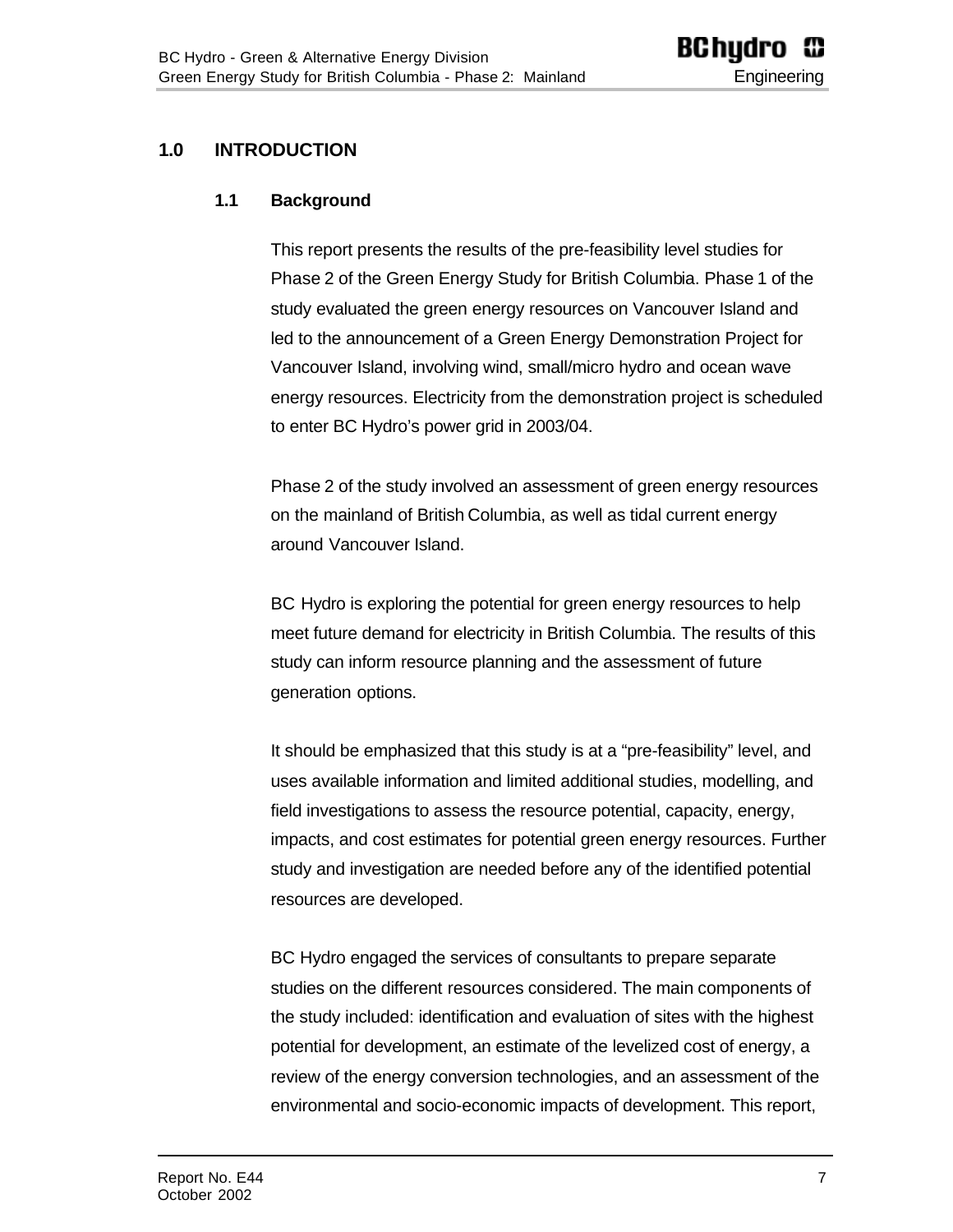## <span id="page-6-0"></span>**1.0 INTRODUCTION**

#### **1.1 Background**

This report presents the results of the pre-feasibility level studies for Phase 2 of the Green Energy Study for British Columbia. Phase 1 of the study evaluated the green energy resources on Vancouver Island and led to the announcement of a Green Energy Demonstration Project for Vancouver Island, involving wind, small/micro hydro and ocean wave energy resources. Electricity from the demonstration project is scheduled to enter BC Hydro's power grid in 2003/04.

Phase 2 of the study involved an assessment of green energy resources on the mainland of British Columbia, as well as tidal current energy around Vancouver Island.

BC Hydro is exploring the potential for green energy resources to help meet future demand for electricity in British Columbia. The results of this study can inform resource planning and the assessment of future generation options.

It should be emphasized that this study is at a "pre-feasibility" level, and uses available information and limited additional studies, modelling, and field investigations to assess the resource potential, capacity, energy, impacts, and cost estimates for potential green energy resources. Further study and investigation are needed before any of the identified potential resources are developed.

BC Hydro engaged the services of consultants to prepare separate studies on the different resources considered. The main components of the study included: identification and evaluation of sites with the highest potential for development, an estimate of the levelized cost of energy, a review of the energy conversion technologies, and an assessment of the environmental and socio-economic impacts of development. This report,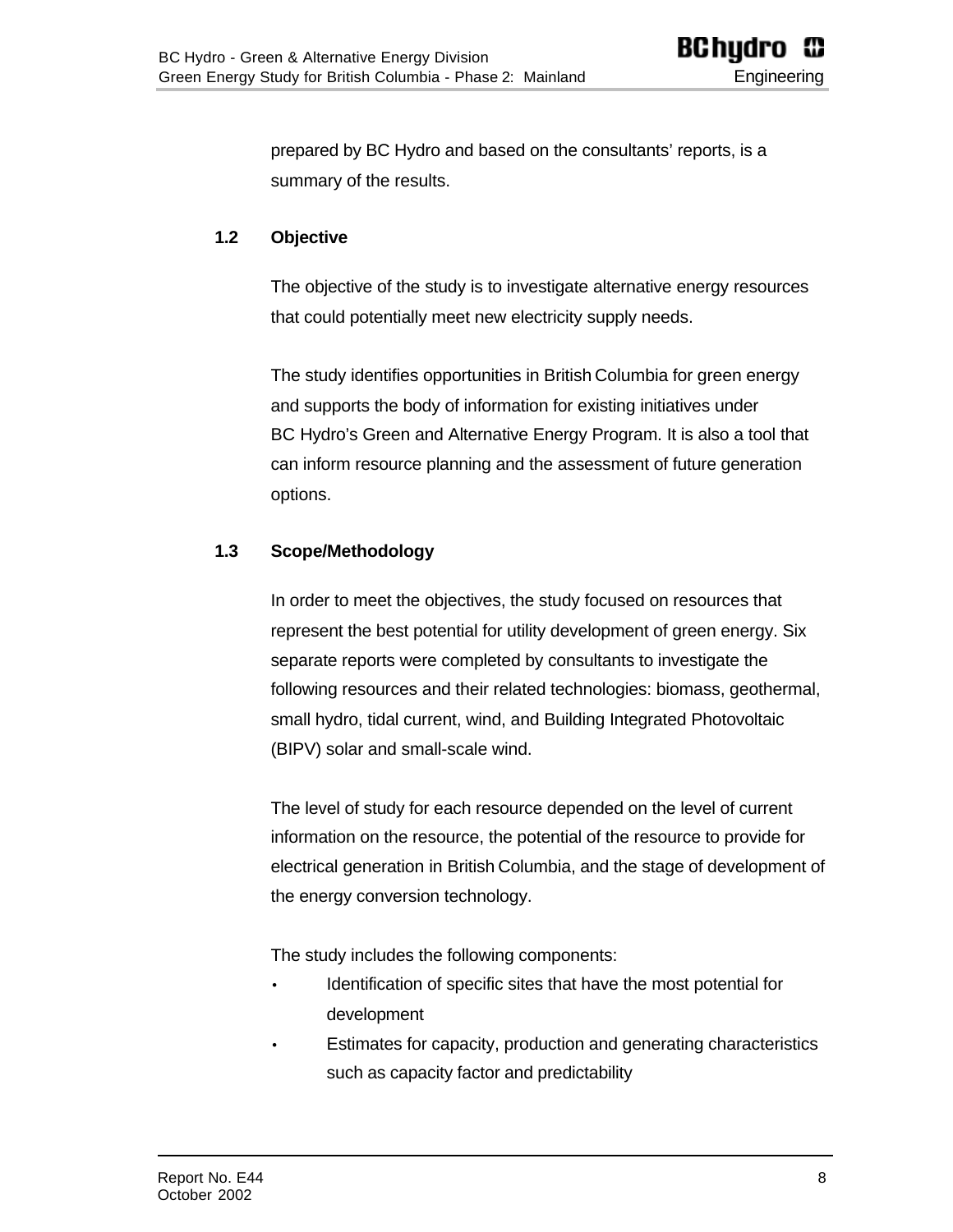<span id="page-7-0"></span>prepared by BC Hydro and based on the consultants' reports, is a summary of the results.

#### **1.2 Objective**

The objective of the study is to investigate alternative energy resources that could potentially meet new electricity supply needs.

The study identifies opportunities in British Columbia for green energy and supports the body of information for existing initiatives under BC Hydro's Green and Alternative Energy Program. It is also a tool that can inform resource planning and the assessment of future generation options.

#### <span id="page-7-1"></span>**1.3 Scope/Methodology**

In order to meet the objectives, the study focused on resources that represent the best potential for utility development of green energy. Six separate reports were completed by consultants to investigate the following resources and their related technologies: biomass, geothermal, small hydro, tidal current, wind, and Building Integrated Photovoltaic (BIPV) solar and small-scale wind.

The level of study for each resource depended on the level of current information on the resource, the potential of the resource to provide for electrical generation in British Columbia, and the stage of development of the energy conversion technology.

The study includes the following components:

- Identification of specific sites that have the most potential for development
- Estimates for capacity, production and generating characteristics such as capacity factor and predictability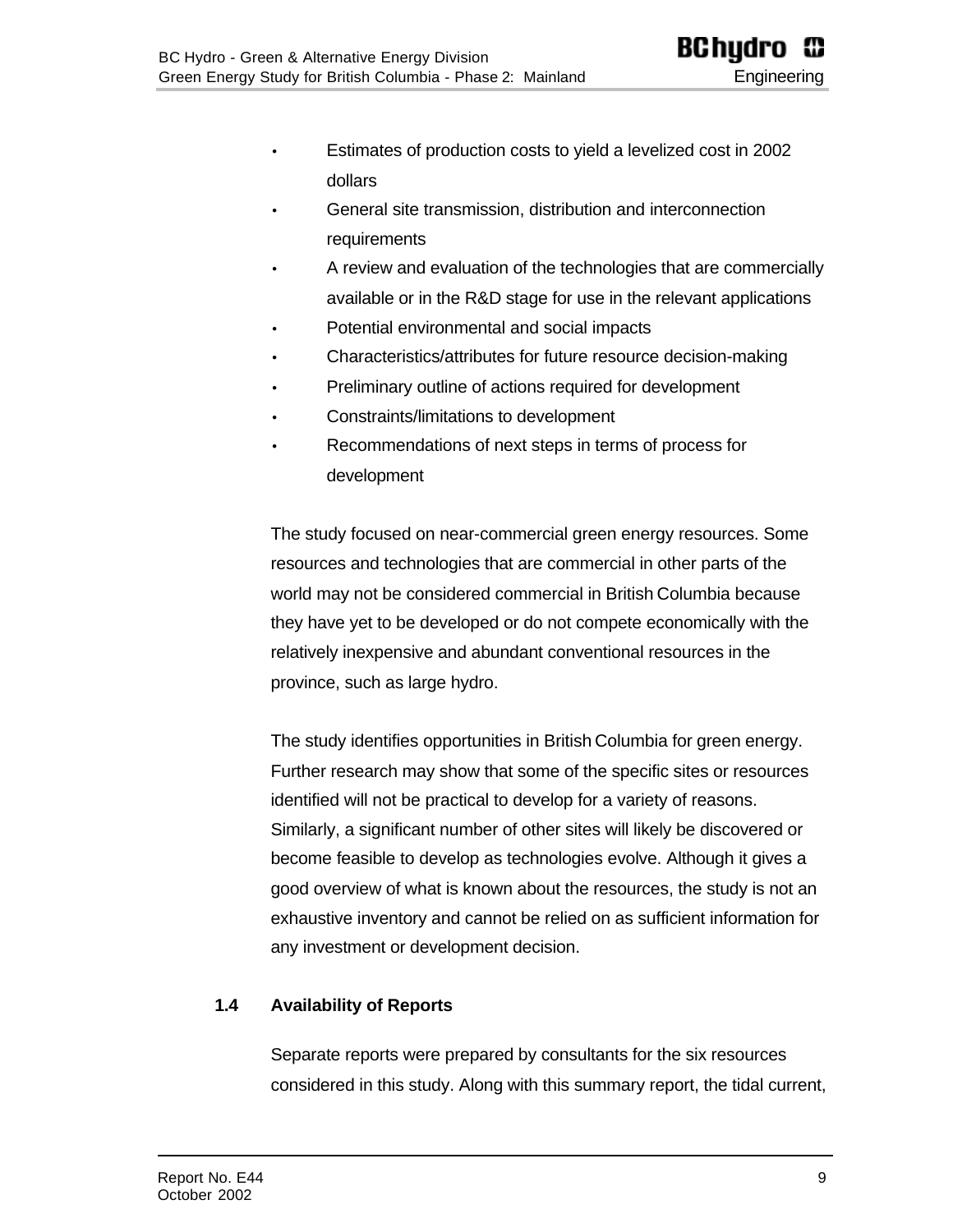- Estimates of production costs to yield a levelized cost in 2002 dollars
- General site transmission, distribution and interconnection requirements
- A review and evaluation of the technologies that are commercially available or in the R&D stage for use in the relevant applications
- Potential environmental and social impacts
- Characteristics/attributes for future resource decision-making
- Preliminary outline of actions required for development
- Constraints/limitations to development
- Recommendations of next steps in terms of process for development

The study focused on near-commercial green energy resources. Some resources and technologies that are commercial in other parts of the world may not be considered commercial in British Columbia because they have yet to be developed or do not compete economically with the relatively inexpensive and abundant conventional resources in the province, such as large hydro.

The study identifies opportunities in British Columbia for green energy. Further research may show that some of the specific sites or resources identified will not be practical to develop for a variety of reasons. Similarly, a significant number of other sites will likely be discovered or become feasible to develop as technologies evolve. Although it gives a good overview of what is known about the resources, the study is not an exhaustive inventory and cannot be relied on as sufficient information for any investment or development decision.

#### <span id="page-8-0"></span>**1.4 Availability of Reports**

Separate reports were prepared by consultants for the six resources considered in this study. Along with this summary report, the tidal current,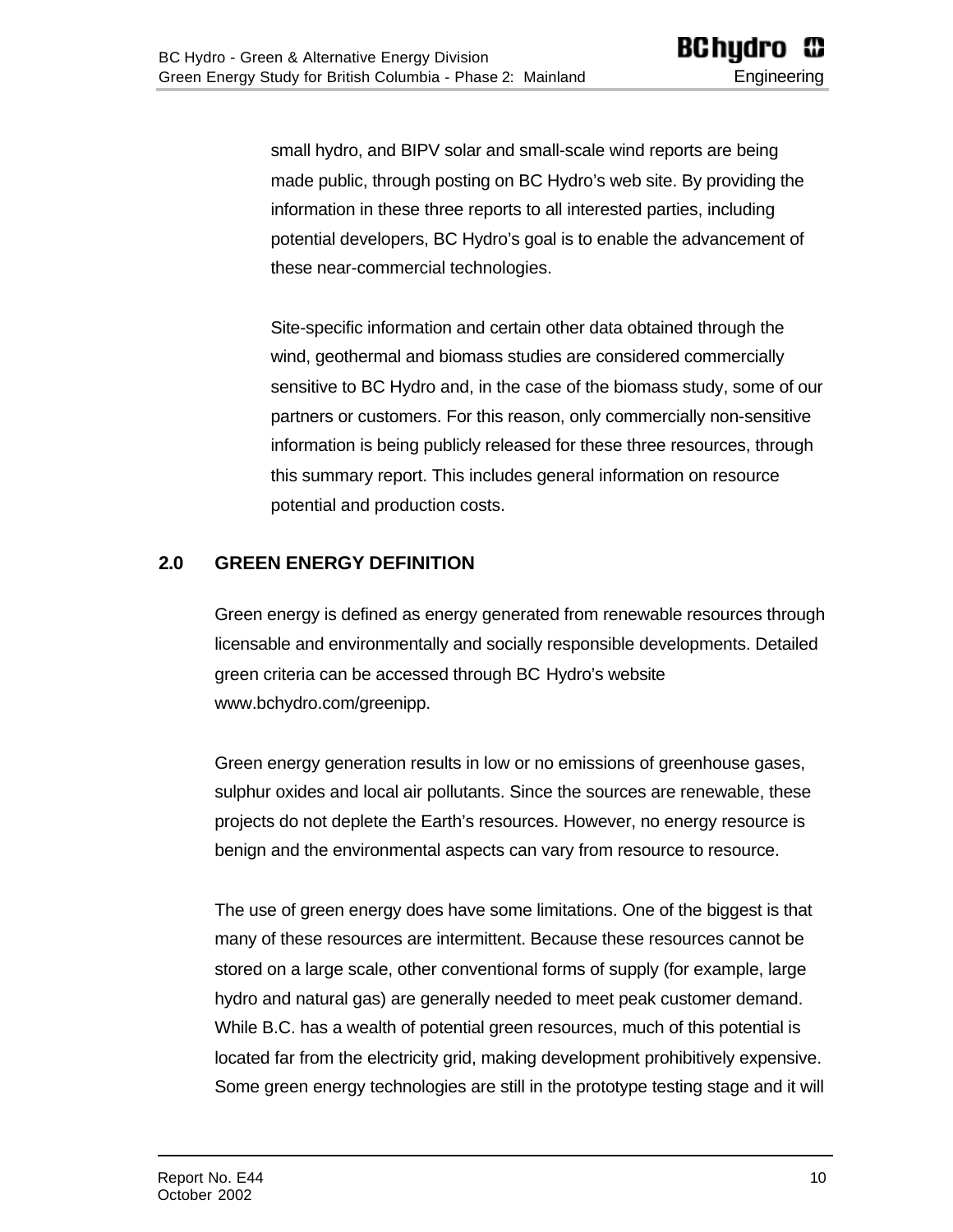small hydro, and BIPV solar and small-scale wind reports are being made public, through posting on BC Hydro's web site. By providing the information in these three reports to all interested parties, including potential developers, BC Hydro's goal is to enable the advancement of these near-commercial technologies.

Site-specific information and certain other data obtained through the wind, geothermal and biomass studies are considered commercially sensitive to BC Hydro and, in the case of the biomass study, some of our partners or customers. For this reason, only commercially non-sensitive information is being publicly released for these three resources, through this summary report. This includes general information on resource potential and production costs.

## <span id="page-9-0"></span>**2.0 GREEN ENERGY DEFINITION**

Green energy is defined as energy generated from renewable resources through licensable and environmentally and socially responsible developments. Detailed green criteria can be accessed through BC Hydro's website www.bchydro.com/greenipp.

Green energy generation results in low or no emissions of greenhouse gases, sulphur oxides and local air pollutants. Since the sources are renewable, these projects do not deplete the Earth's resources. However, no energy resource is benign and the environmental aspects can vary from resource to resource.

The use of green energy does have some limitations. One of the biggest is that many of these resources are intermittent. Because these resources cannot be stored on a large scale, other conventional forms of supply (for example, large hydro and natural gas) are generally needed to meet peak customer demand. While B.C. has a wealth of potential green resources, much of this potential is located far from the electricity grid, making development prohibitively expensive. Some green energy technologies are still in the prototype testing stage and it will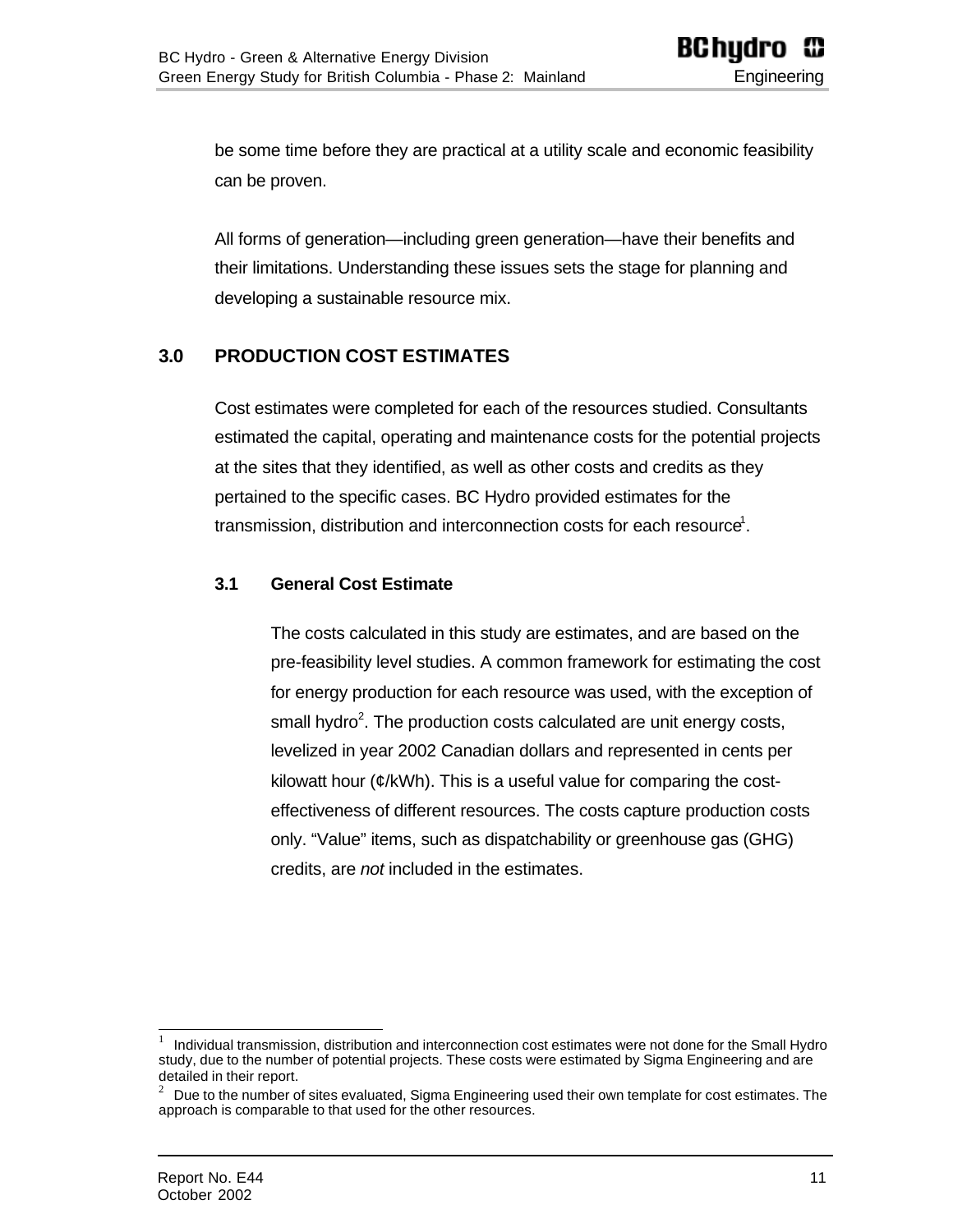be some time before they are practical at a utility scale and economic feasibility can be proven.

All forms of generation—including green generation—have their benefits and their limitations. Understanding these issues sets the stage for planning and developing a sustainable resource mix.

## <span id="page-10-1"></span><span id="page-10-0"></span>**3.0 PRODUCTION COST ESTIMATES**

Cost estimates were completed for each of the resources studied. Consultants estimated the capital, operating and maintenance costs for the potential projects at the sites that they identified, as well as other costs and credits as they pertained to the specific cases. BC Hydro provided estimates for the transmission, distribution and interconnection costs for each resource<sup>1</sup>.

#### **3.1 General Cost Estimate**

The costs calculated in this study are estimates, and are based on the pre-feasibility level studies. A common framework for estimating the cost for energy production for each resource was used, with the exception of small hydro<sup>2</sup>. The production costs calculated are unit energy costs, levelized in year 2002 Canadian dollars and represented in cents per kilowatt hour (¢/kWh). This is a useful value for comparing the costeffectiveness of different resources. The costs capture production costs only. "Value" items, such as dispatchability or greenhouse gas (GHG) credits, are *not* included in the estimates.

 1 Individual transmission, distribution and interconnection cost estimates were not done for the Small Hydro study, due to the number of potential projects. These costs were estimated by Sigma Engineering and are detailed in their report.

<sup>2</sup> Due to the number of sites evaluated, Sigma Engineering used their own template for cost estimates. The approach is comparable to that used for the other resources.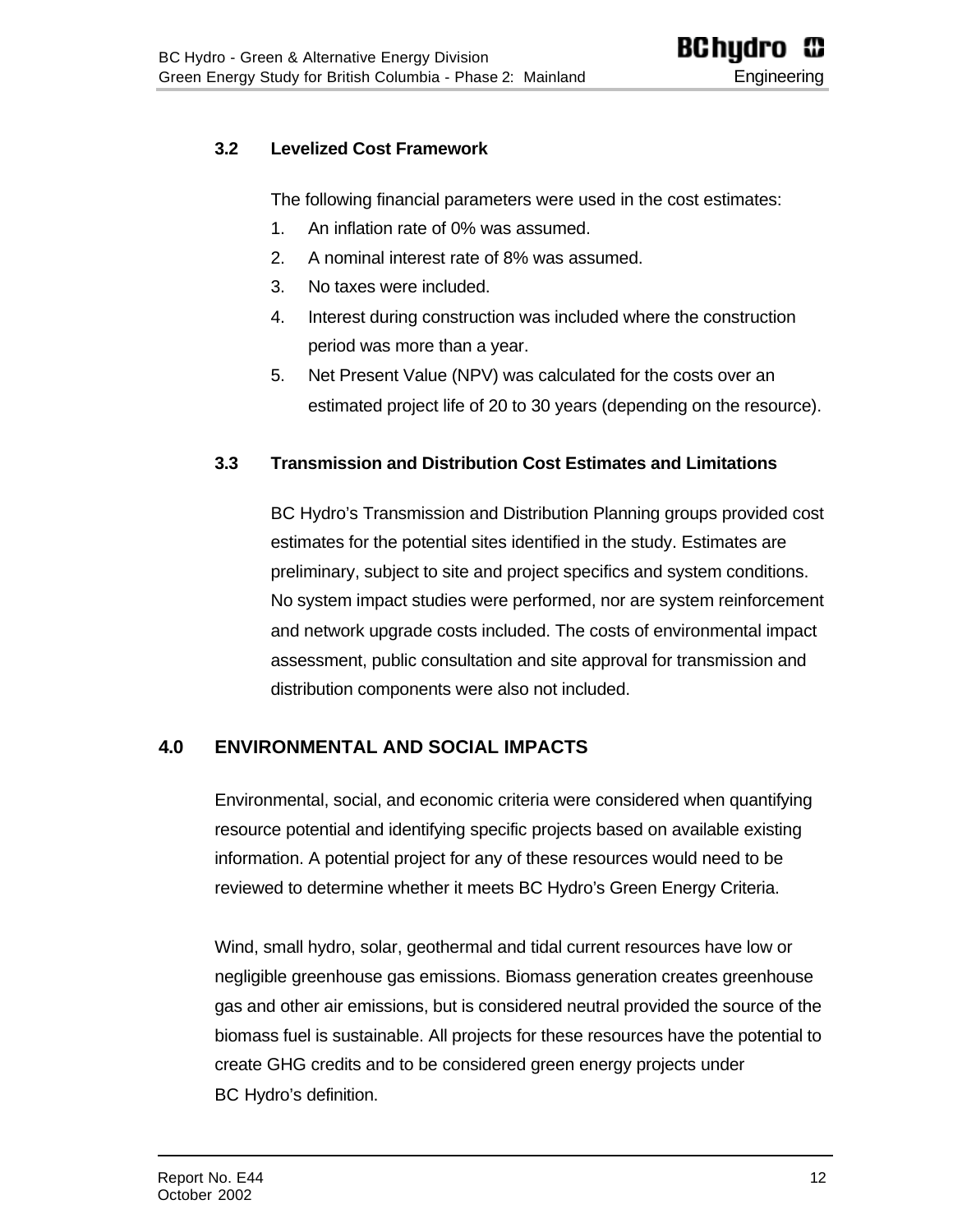#### <span id="page-11-0"></span>**3.2 Levelized Cost Framework**

The following financial parameters were used in the cost estimates:

- 1. An inflation rate of 0% was assumed.
- 2. A nominal interest rate of 8% was assumed.
- 3. No taxes were included.
- 4. Interest during construction was included where the construction period was more than a year.
- 5. Net Present Value (NPV) was calculated for the costs over an estimated project life of 20 to 30 years (depending on the resource).

#### <span id="page-11-1"></span>**3.3 Transmission and Distribution Cost Estimates and Limitations**

BC Hydro's Transmission and Distribution Planning groups provided cost estimates for the potential sites identified in the study. Estimates are preliminary, subject to site and project specifics and system conditions. No system impact studies were performed, nor are system reinforcement and network upgrade costs included. The costs of environmental impact assessment, public consultation and site approval for transmission and distribution components were also not included.

#### <span id="page-11-2"></span>**4.0 ENVIRONMENTAL AND SOCIAL IMPACTS**

Environmental, social, and economic criteria were considered when quantifying resource potential and identifying specific projects based on available existing information. A potential project for any of these resources would need to be reviewed to determine whether it meets BC Hydro's Green Energy Criteria.

Wind, small hydro, solar, geothermal and tidal current resources have low or negligible greenhouse gas emissions. Biomass generation creates greenhouse gas and other air emissions, but is considered neutral provided the source of the biomass fuel is sustainable. All projects for these resources have the potential to create GHG credits and to be considered green energy projects under BC Hydro's definition.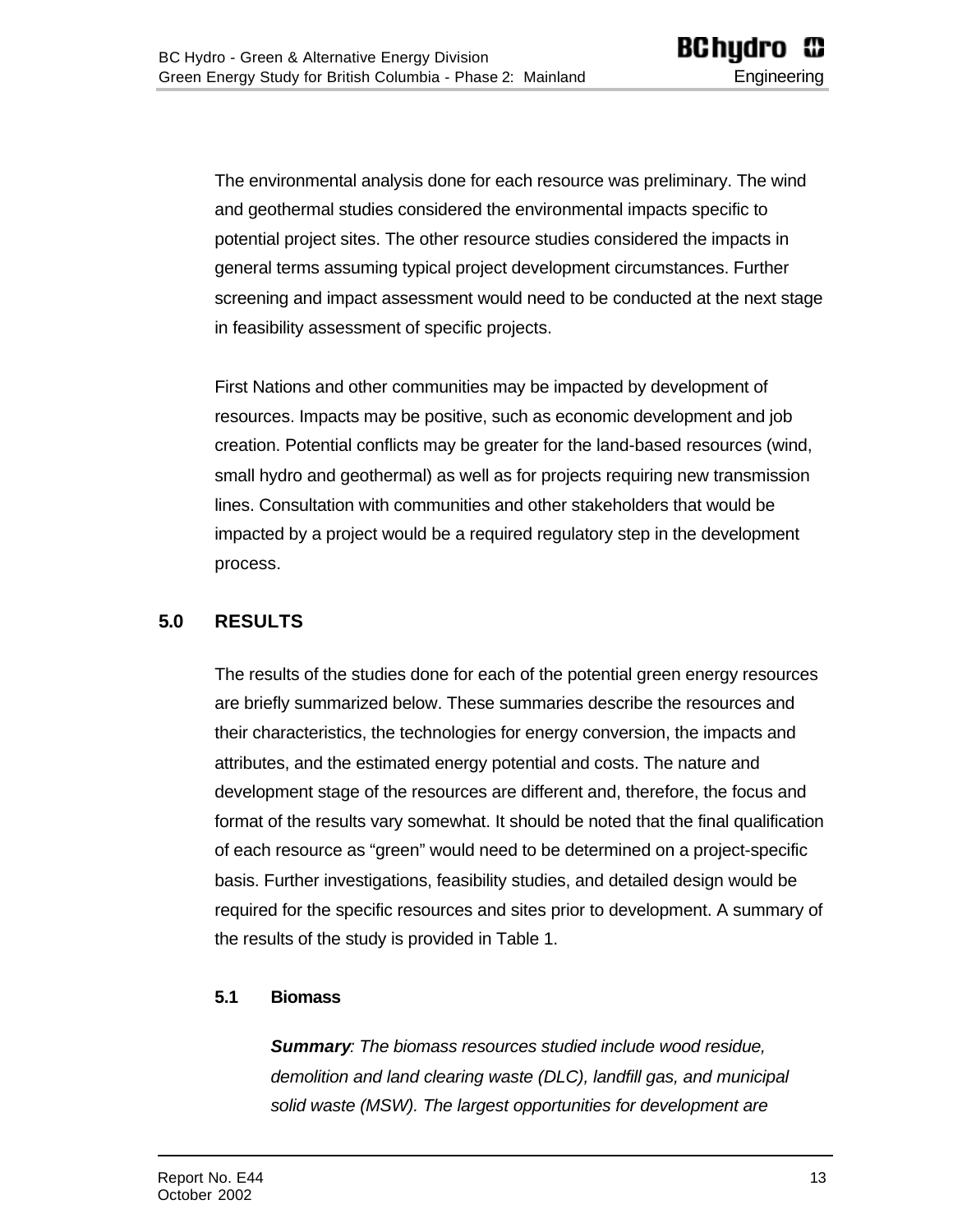The environmental analysis done for each resource was preliminary. The wind and geothermal studies considered the environmental impacts specific to potential project sites. The other resource studies considered the impacts in general terms assuming typical project development circumstances. Further screening and impact assessment would need to be conducted at the next stage in feasibility assessment of specific projects.

First Nations and other communities may be impacted by development of resources. Impacts may be positive, such as economic development and job creation. Potential conflicts may be greater for the land-based resources (wind, small hydro and geothermal) as well as for projects requiring new transmission lines. Consultation with communities and other stakeholders that would be impacted by a project would be a required regulatory step in the development process.

## <span id="page-12-1"></span><span id="page-12-0"></span>**5.0 RESULTS**

The results of the studies done for each of the potential green energy resources are briefly summarized below. These summaries describe the resources and their characteristics, the technologies for energy conversion, the impacts and attributes, and the estimated energy potential and costs. The nature and development stage of the resources are different and, therefore, the focus and format of the results vary somewhat. It should be noted that the final qualification of each resource as "green" would need to be determined on a project-specific basis. Further investigations, feasibility studies, and detailed design would be required for the specific resources and sites prior to development. A summary of the results of the study is provided in Table 1.

#### **5.1 Biomass**

*Summary: The biomass resources studied include wood residue, demolition and land clearing waste (DLC), landfill gas, and municipal solid waste (MSW). The largest opportunities for development are*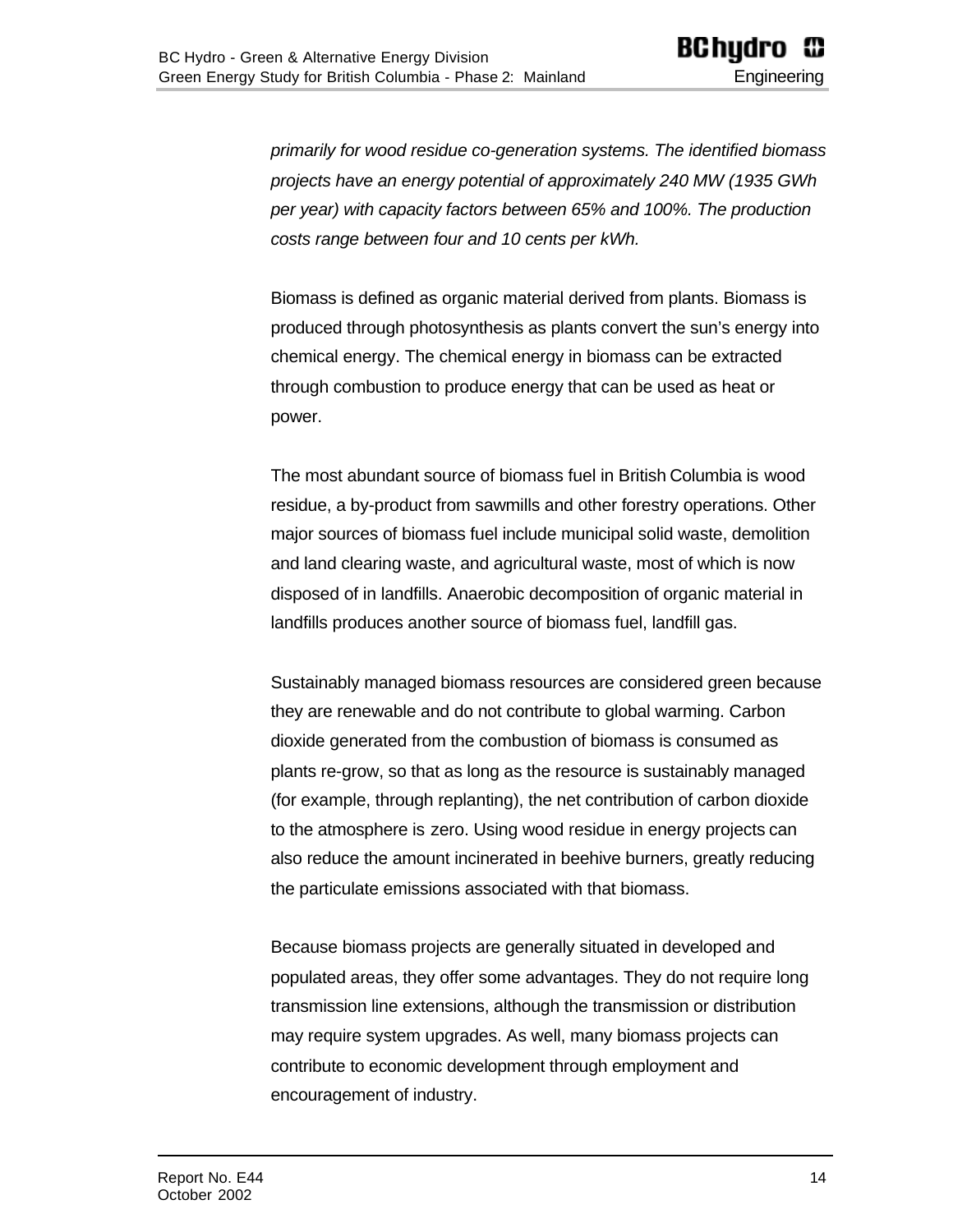*primarily for wood residue co-generation systems. The identified biomass projects have an energy potential of approximately 240 MW (1935 GWh per year) with capacity factors between 65% and 100%. The production costs range between four and 10 cents per kWh.*

Biomass is defined as organic material derived from plants. Biomass is produced through photosynthesis as plants convert the sun's energy into chemical energy. The chemical energy in biomass can be extracted through combustion to produce energy that can be used as heat or power.

The most abundant source of biomass fuel in British Columbia is wood residue, a by-product from sawmills and other forestry operations. Other major sources of biomass fuel include municipal solid waste, demolition and land clearing waste, and agricultural waste, most of which is now disposed of in landfills. Anaerobic decomposition of organic material in landfills produces another source of biomass fuel, landfill gas.

Sustainably managed biomass resources are considered green because they are renewable and do not contribute to global warming. Carbon dioxide generated from the combustion of biomass is consumed as plants re-grow, so that as long as the resource is sustainably managed (for example, through replanting), the net contribution of carbon dioxide to the atmosphere is zero. Using wood residue in energy projects can also reduce the amount incinerated in beehive burners, greatly reducing the particulate emissions associated with that biomass.

Because biomass projects are generally situated in developed and populated areas, they offer some advantages. They do not require long transmission line extensions, although the transmission or distribution may require system upgrades. As well, many biomass projects can contribute to economic development through employment and encouragement of industry.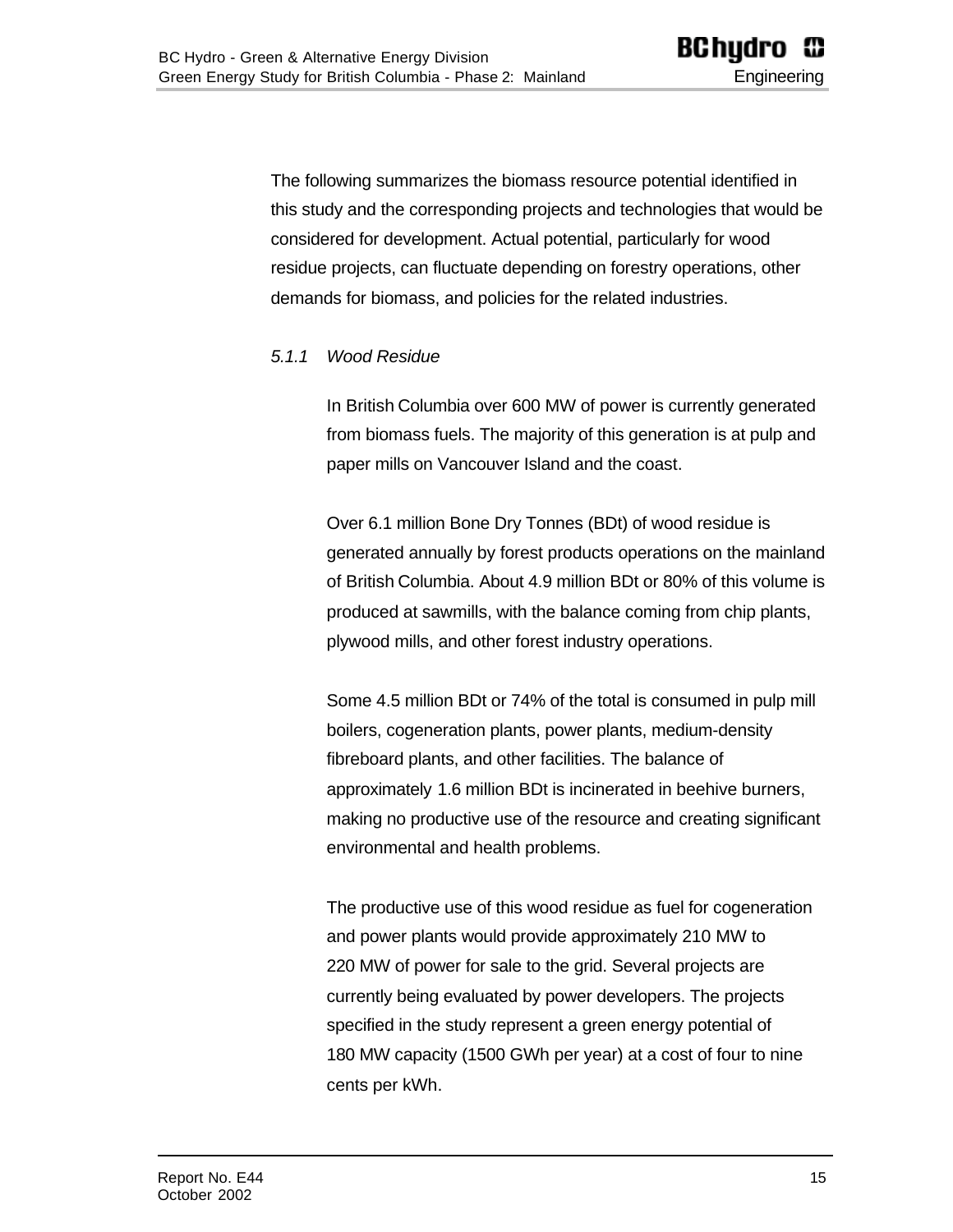<span id="page-14-0"></span>The following summarizes the biomass resource potential identified in this study and the corresponding projects and technologies that would be considered for development. Actual potential, particularly for wood residue projects, can fluctuate depending on forestry operations, other demands for biomass, and policies for the related industries.

#### *5.1.1 Wood Residue*

In British Columbia over 600 MW of power is currently generated from biomass fuels. The majority of this generation is at pulp and paper mills on Vancouver Island and the coast.

Over 6.1 million Bone Dry Tonnes (BDt) of wood residue is generated annually by forest products operations on the mainland of British Columbia. About 4.9 million BDt or 80% of this volume is produced at sawmills, with the balance coming from chip plants, plywood mills, and other forest industry operations.

Some 4.5 million BDt or 74% of the total is consumed in pulp mill boilers, cogeneration plants, power plants, medium-density fibreboard plants, and other facilities. The balance of approximately 1.6 million BDt is incinerated in beehive burners, making no productive use of the resource and creating significant environmental and health problems.

The productive use of this wood residue as fuel for cogeneration and power plants would provide approximately 210 MW to 220 MW of power for sale to the grid. Several projects are currently being evaluated by power developers. The projects specified in the study represent a green energy potential of 180 MW capacity (1500 GWh per year) at a cost of four to nine cents per kWh.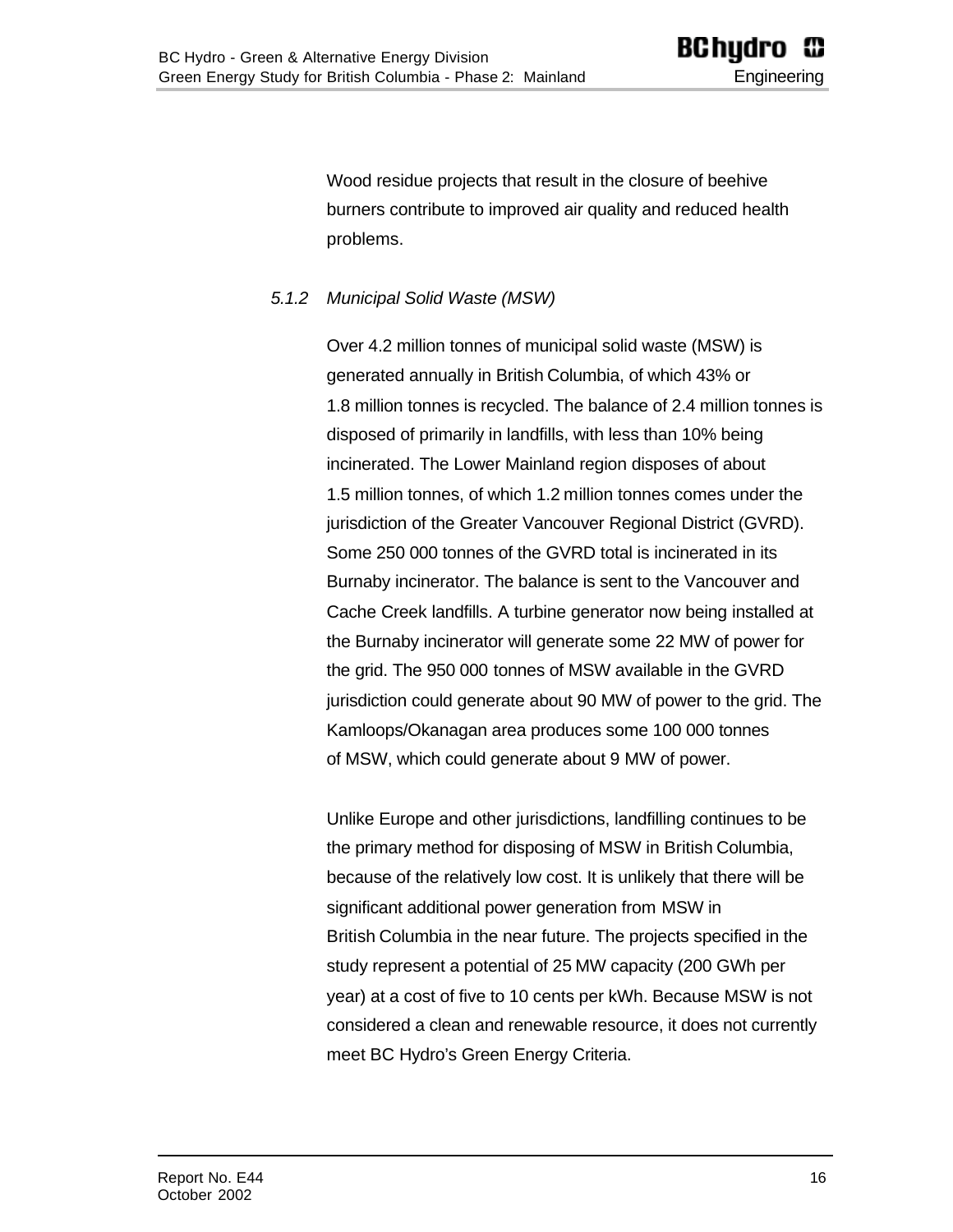Wood residue projects that result in the closure of beehive burners contribute to improved air quality and reduced health problems.

#### <span id="page-15-0"></span>*5.1.2 Municipal Solid Waste (MSW)*

Over 4.2 million tonnes of municipal solid waste (MSW) is generated annually in British Columbia, of which 43% or 1.8 million tonnes is recycled. The balance of 2.4 million tonnes is disposed of primarily in landfills, with less than 10% being incinerated. The Lower Mainland region disposes of about 1.5 million tonnes, of which 1.2 million tonnes comes under the jurisdiction of the Greater Vancouver Regional District (GVRD). Some 250 000 tonnes of the GVRD total is incinerated in its Burnaby incinerator. The balance is sent to the Vancouver and Cache Creek landfills. A turbine generator now being installed at the Burnaby incinerator will generate some 22 MW of power for the grid. The 950 000 tonnes of MSW available in the GVRD jurisdiction could generate about 90 MW of power to the grid. The Kamloops/Okanagan area produces some 100 000 tonnes of MSW, which could generate about 9 MW of power.

Unlike Europe and other jurisdictions, landfilling continues to be the primary method for disposing of MSW in British Columbia, because of the relatively low cost. It is unlikely that there will be significant additional power generation from MSW in British Columbia in the near future. The projects specified in the study represent a potential of 25 MW capacity (200 GWh per year) at a cost of five to 10 cents per kWh. Because MSW is not considered a clean and renewable resource, it does not currently meet BC Hydro's Green Energy Criteria.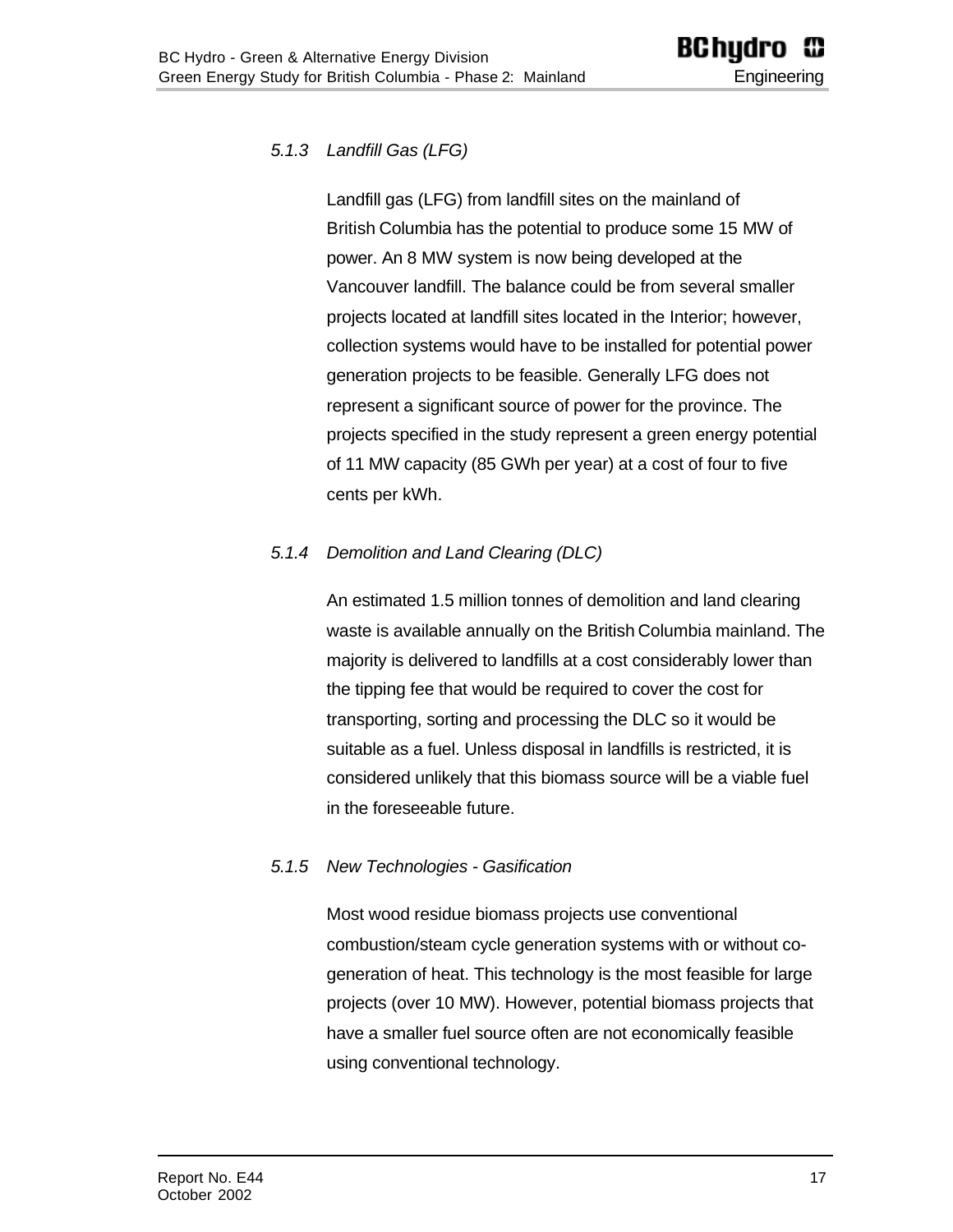#### <span id="page-16-0"></span>*5.1.3 Landfill Gas (LFG)*

Landfill gas (LFG) from landfill sites on the mainland of British Columbia has the potential to produce some 15 MW of power. An 8 MW system is now being developed at the Vancouver landfill. The balance could be from several smaller projects located at landfill sites located in the Interior; however, collection systems would have to be installed for potential power generation projects to be feasible. Generally LFG does not represent a significant source of power for the province. The projects specified in the study represent a green energy potential of 11 MW capacity (85 GWh per year) at a cost of four to five cents per kWh.

#### <span id="page-16-2"></span><span id="page-16-1"></span>*5.1.4 Demolition and Land Clearing (DLC)*

An estimated 1.5 million tonnes of demolition and land clearing waste is available annually on the British Columbia mainland. The majority is delivered to landfills at a cost considerably lower than the tipping fee that would be required to cover the cost for transporting, sorting and processing the DLC so it would be suitable as a fuel. Unless disposal in landfills is restricted, it is considered unlikely that this biomass source will be a viable fuel in the foreseeable future.

#### *5.1.5 New Technologies - Gasification*

Most wood residue biomass projects use conventional combustion/steam cycle generation systems with or without cogeneration of heat. This technology is the most feasible for large projects (over 10 MW). However, potential biomass projects that have a smaller fuel source often are not economically feasible using conventional technology.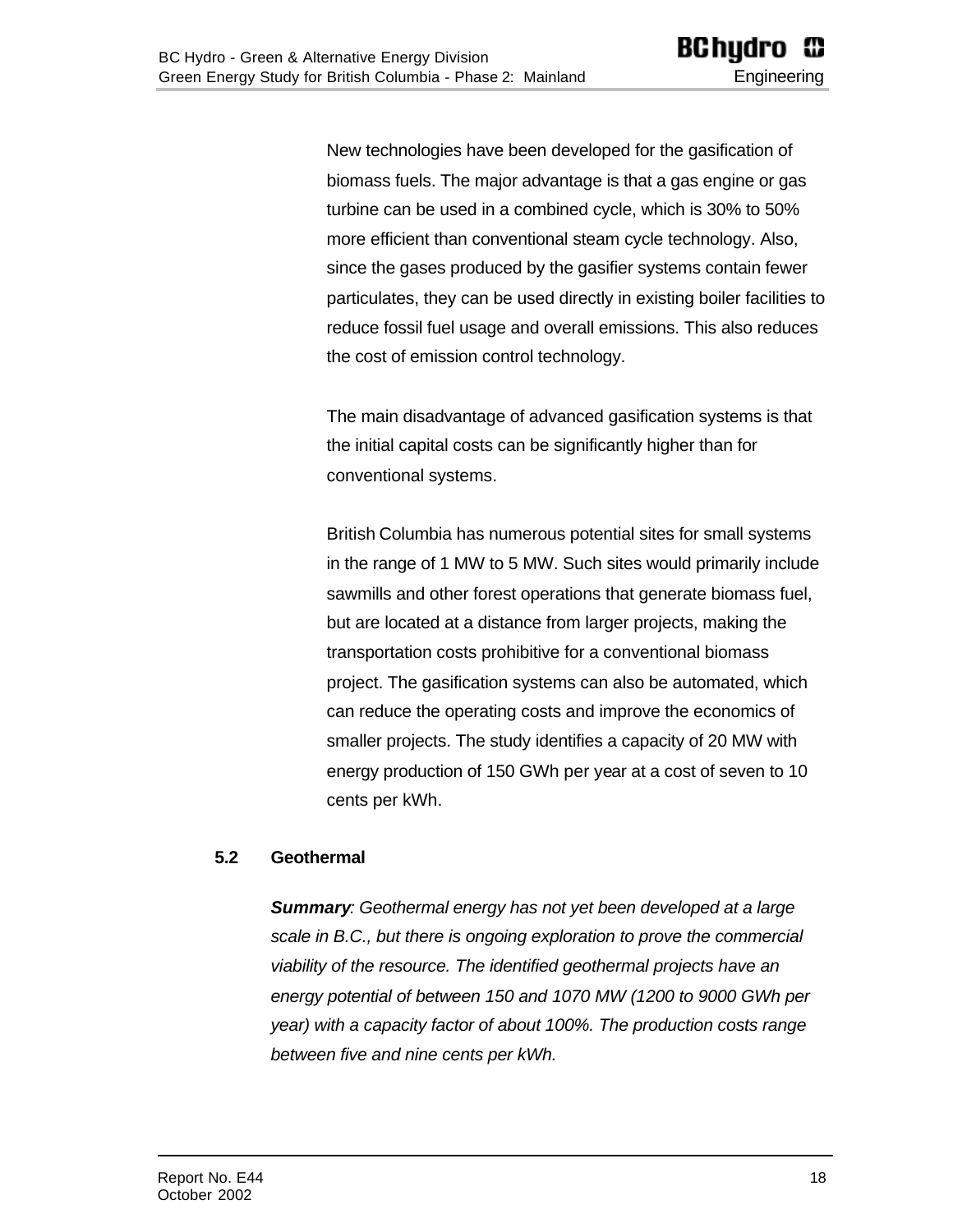New technologies have been developed for the gasification of biomass fuels. The major advantage is that a gas engine or gas turbine can be used in a combined cycle, which is 30% to 50% more efficient than conventional steam cycle technology. Also, since the gases produced by the gasifier systems contain fewer particulates, they can be used directly in existing boiler facilities to reduce fossil fuel usage and overall emissions. This also reduces the cost of emission control technology.

The main disadvantage of advanced gasification systems is that the initial capital costs can be significantly higher than for conventional systems.

British Columbia has numerous potential sites for small systems in the range of 1 MW to 5 MW. Such sites would primarily include sawmills and other forest operations that generate biomass fuel, but are located at a distance from larger projects, making the transportation costs prohibitive for a conventional biomass project. The gasification systems can also be automated, which can reduce the operating costs and improve the economics of smaller projects. The study identifies a capacity of 20 MW with energy production of 150 GWh per year at a cost of seven to 10 cents per kWh.

#### <span id="page-17-0"></span>**5.2 Geothermal**

*Summary: Geothermal energy has not yet been developed at a large scale in B.C., but there is ongoing exploration to prove the commercial viability of the resource. The identified geothermal projects have an energy potential of between 150 and 1070 MW (1200 to 9000 GWh per year) with a capacity factor of about 100%. The production costs range between five and nine cents per kWh.*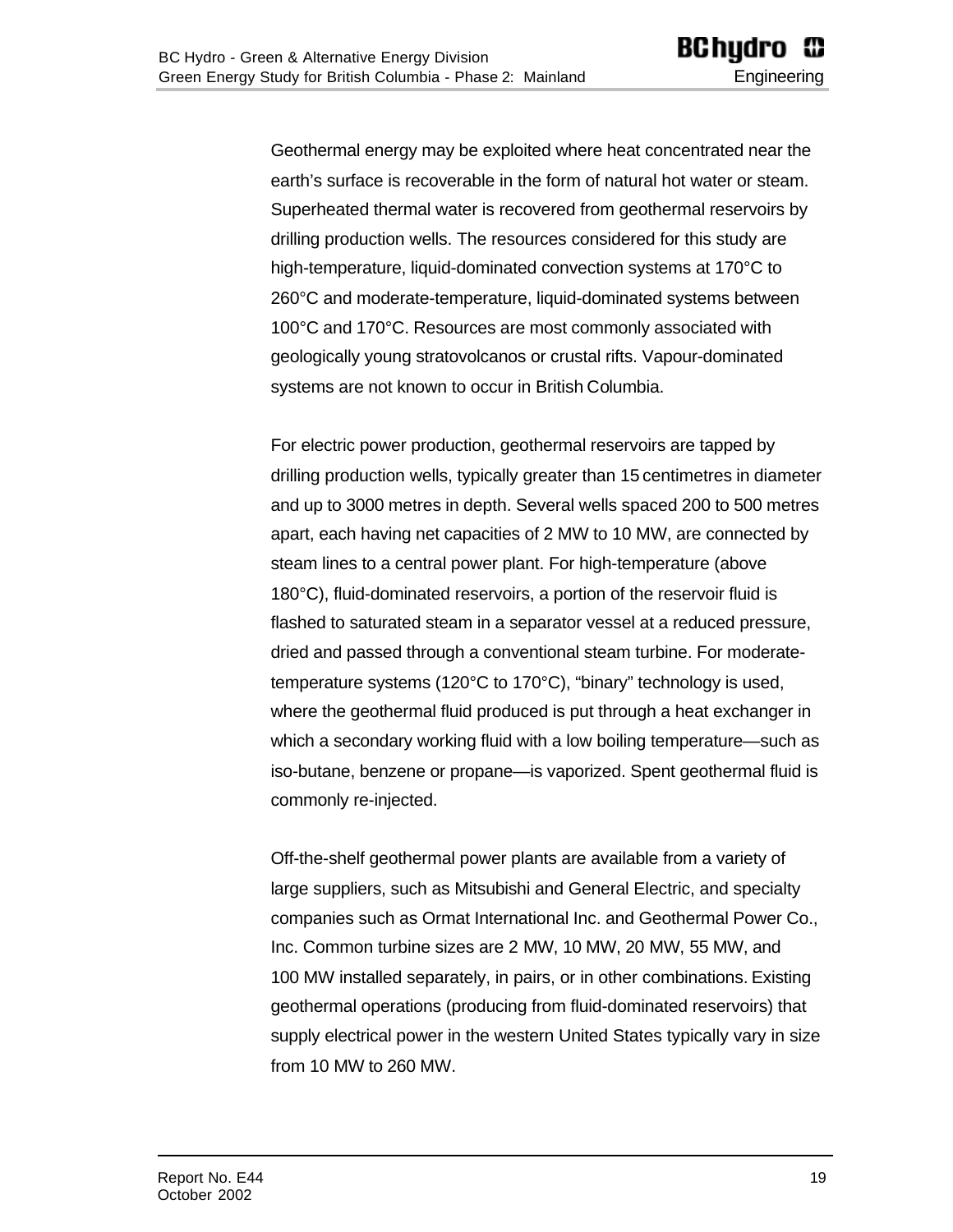Geothermal energy may be exploited where heat concentrated near the earth's surface is recoverable in the form of natural hot water or steam. Superheated thermal water is recovered from geothermal reservoirs by drilling production wells. The resources considered for this study are high-temperature, liquid-dominated convection systems at 170°C to 260°C and moderate-temperature, liquid-dominated systems between 100°C and 170°C. Resources are most commonly associated with geologically young stratovolcanos or crustal rifts. Vapour-dominated systems are not known to occur in British Columbia.

For electric power production, geothermal reservoirs are tapped by drilling production wells, typically greater than 15 centimetres in diameter and up to 3000 metres in depth. Several wells spaced 200 to 500 metres apart, each having net capacities of 2 MW to 10 MW, are connected by steam lines to a central power plant. For high-temperature (above 180°C), fluid-dominated reservoirs, a portion of the reservoir fluid is flashed to saturated steam in a separator vessel at a reduced pressure, dried and passed through a conventional steam turbine. For moderatetemperature systems (120°C to 170°C), "binary" technology is used, where the geothermal fluid produced is put through a heat exchanger in which a secondary working fluid with a low boiling temperature—such as iso-butane, benzene or propane—is vaporized. Spent geothermal fluid is commonly re-injected.

Off-the-shelf geothermal power plants are available from a variety of large suppliers, such as Mitsubishi and General Electric, and specialty companies such as Ormat International Inc. and Geothermal Power Co., Inc. Common turbine sizes are 2 MW, 10 MW, 20 MW, 55 MW, and 100 MW installed separately, in pairs, or in other combinations. Existing geothermal operations (producing from fluid-dominated reservoirs) that supply electrical power in the western United States typically vary in size from 10 MW to 260 MW.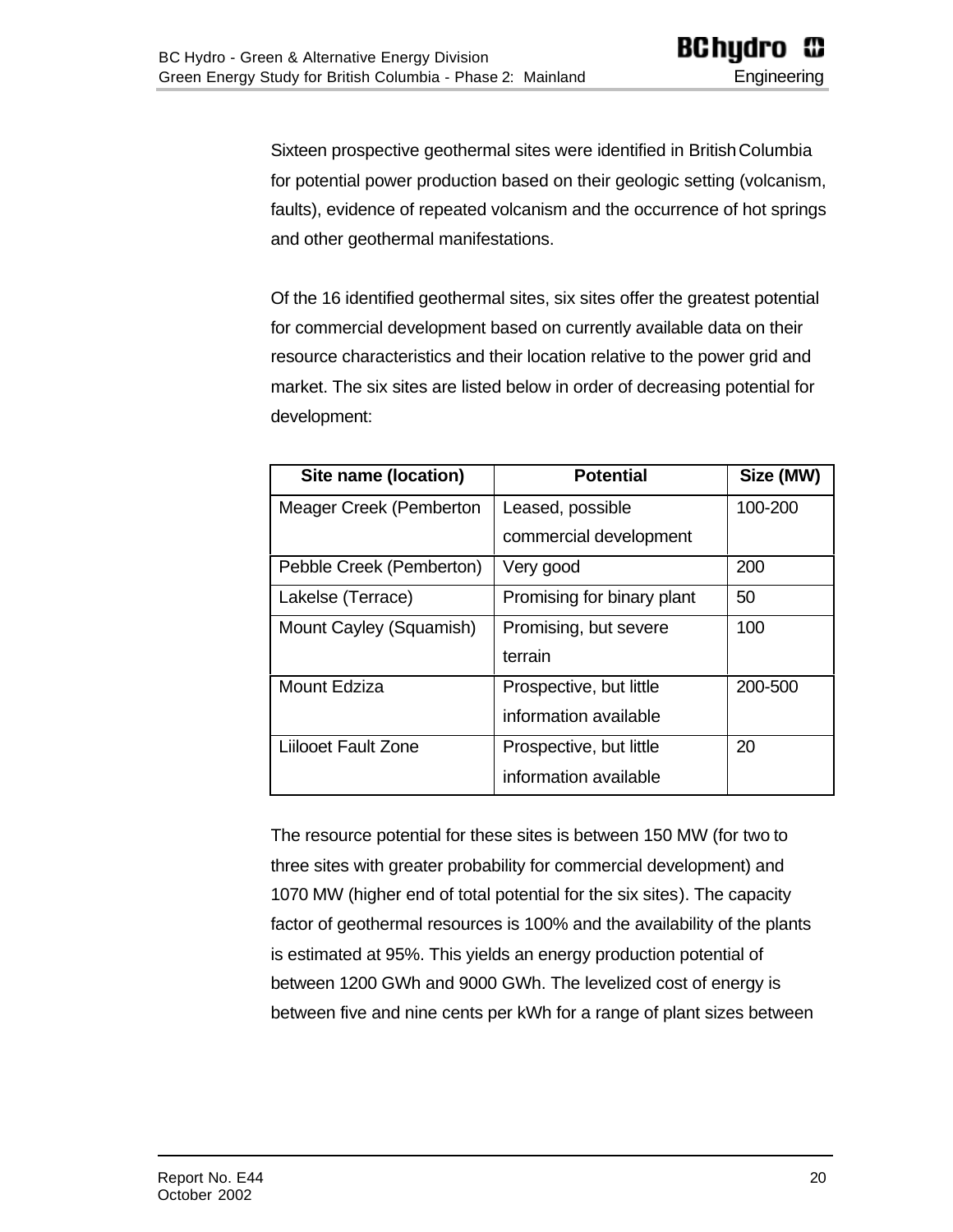Sixteen prospective geothermal sites were identified in British Columbia for potential power production based on their geologic setting (volcanism, faults), evidence of repeated volcanism and the occurrence of hot springs and other geothermal manifestations.

Of the 16 identified geothermal sites, six sites offer the greatest potential for commercial development based on currently available data on their resource characteristics and their location relative to the power grid and market. The six sites are listed below in order of decreasing potential for development:

| Site name (location)       | <b>Potential</b>           | Size (MW) |
|----------------------------|----------------------------|-----------|
| Meager Creek (Pemberton    | Leased, possible           | 100-200   |
|                            | commercial development     |           |
| Pebble Creek (Pemberton)   | Very good                  | 200       |
| Lakelse (Terrace)          | Promising for binary plant | 50        |
| Mount Cayley (Squamish)    | Promising, but severe      | 100       |
|                            | terrain                    |           |
| <b>Mount Edziza</b>        | Prospective, but little    | 200-500   |
|                            | information available      |           |
| <b>Liilooet Fault Zone</b> | Prospective, but little    | 20        |
|                            | information available      |           |

The resource potential for these sites is between 150 MW (for two to three sites with greater probability for commercial development) and 1070 MW (higher end of total potential for the six sites). The capacity factor of geothermal resources is 100% and the availability of the plants is estimated at 95%. This yields an energy production potential of between 1200 GWh and 9000 GWh. The levelized cost of energy is between five and nine cents per kWh for a range of plant sizes between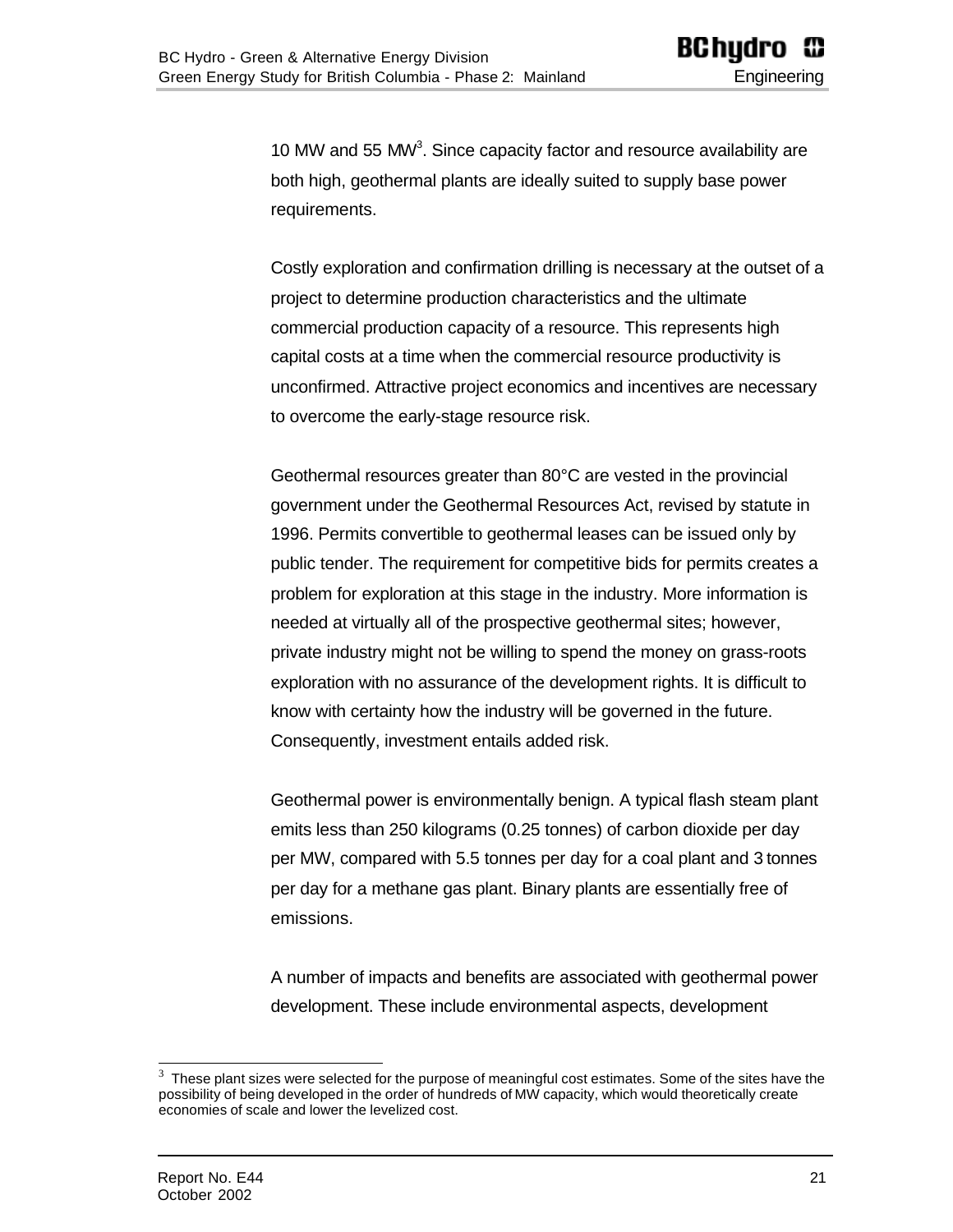10 MW and 55 MW<sup>3</sup>. Since capacity factor and resource availability are both high, geothermal plants are ideally suited to supply base power requirements.

Costly exploration and confirmation drilling is necessary at the outset of a project to determine production characteristics and the ultimate commercial production capacity of a resource. This represents high capital costs at a time when the commercial resource productivity is unconfirmed. Attractive project economics and incentives are necessary to overcome the early-stage resource risk.

Geothermal resources greater than 80°C are vested in the provincial government under the Geothermal Resources Act, revised by statute in 1996. Permits convertible to geothermal leases can be issued only by public tender. The requirement for competitive bids for permits creates a problem for exploration at this stage in the industry. More information is needed at virtually all of the prospective geothermal sites; however, private industry might not be willing to spend the money on grass-roots exploration with no assurance of the development rights. It is difficult to know with certainty how the industry will be governed in the future. Consequently, investment entails added risk.

Geothermal power is environmentally benign. A typical flash steam plant emits less than 250 kilograms (0.25 tonnes) of carbon dioxide per day per MW, compared with 5.5 tonnes per day for a coal plant and 3 tonnes per day for a methane gas plant. Binary plants are essentially free of emissions.

A number of impacts and benefits are associated with geothermal power development. These include environmental aspects, development

<sup>3</sup> These plant sizes were selected for the purpose of meaningful cost estimates. Some of the sites have the possibility of being developed in the order of hundreds of MW capacity, which would theoretically create economies of scale and lower the levelized cost.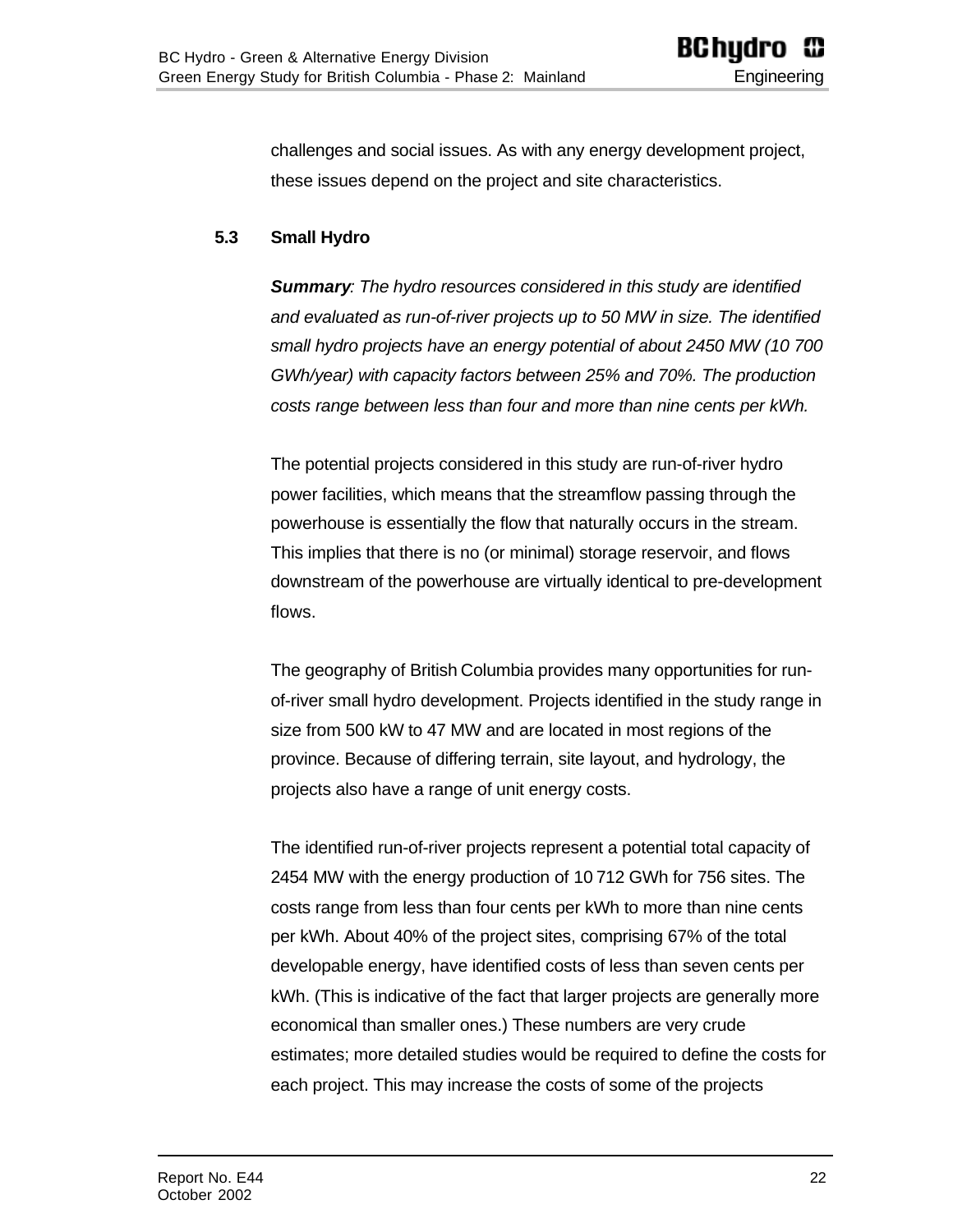<span id="page-21-0"></span>challenges and social issues. As with any energy development project, these issues depend on the project and site characteristics.

#### **5.3 Small Hydro**

*Summary: The hydro resources considered in this study are identified and evaluated as run-of-river projects up to 50 MW in size. The identified small hydro projects have an energy potential of about 2450 MW (10 700 GWh/year) with capacity factors between 25% and 70%. The production costs range between less than four and more than nine cents per kWh.*

The potential projects considered in this study are run-of-river hydro power facilities, which means that the streamflow passing through the powerhouse is essentially the flow that naturally occurs in the stream. This implies that there is no (or minimal) storage reservoir, and flows downstream of the powerhouse are virtually identical to pre-development flows.

The geography of British Columbia provides many opportunities for runof-river small hydro development. Projects identified in the study range in size from 500 kW to 47 MW and are located in most regions of the province. Because of differing terrain, site layout, and hydrology, the projects also have a range of unit energy costs.

The identified run-of-river projects represent a potential total capacity of 2454 MW with the energy production of 10 712 GWh for 756 sites. The costs range from less than four cents per kWh to more than nine cents per kWh. About 40% of the project sites, comprising 67% of the total developable energy, have identified costs of less than seven cents per kWh. (This is indicative of the fact that larger projects are generally more economical than smaller ones.) These numbers are very crude estimates; more detailed studies would be required to define the costs for each project. This may increase the costs of some of the projects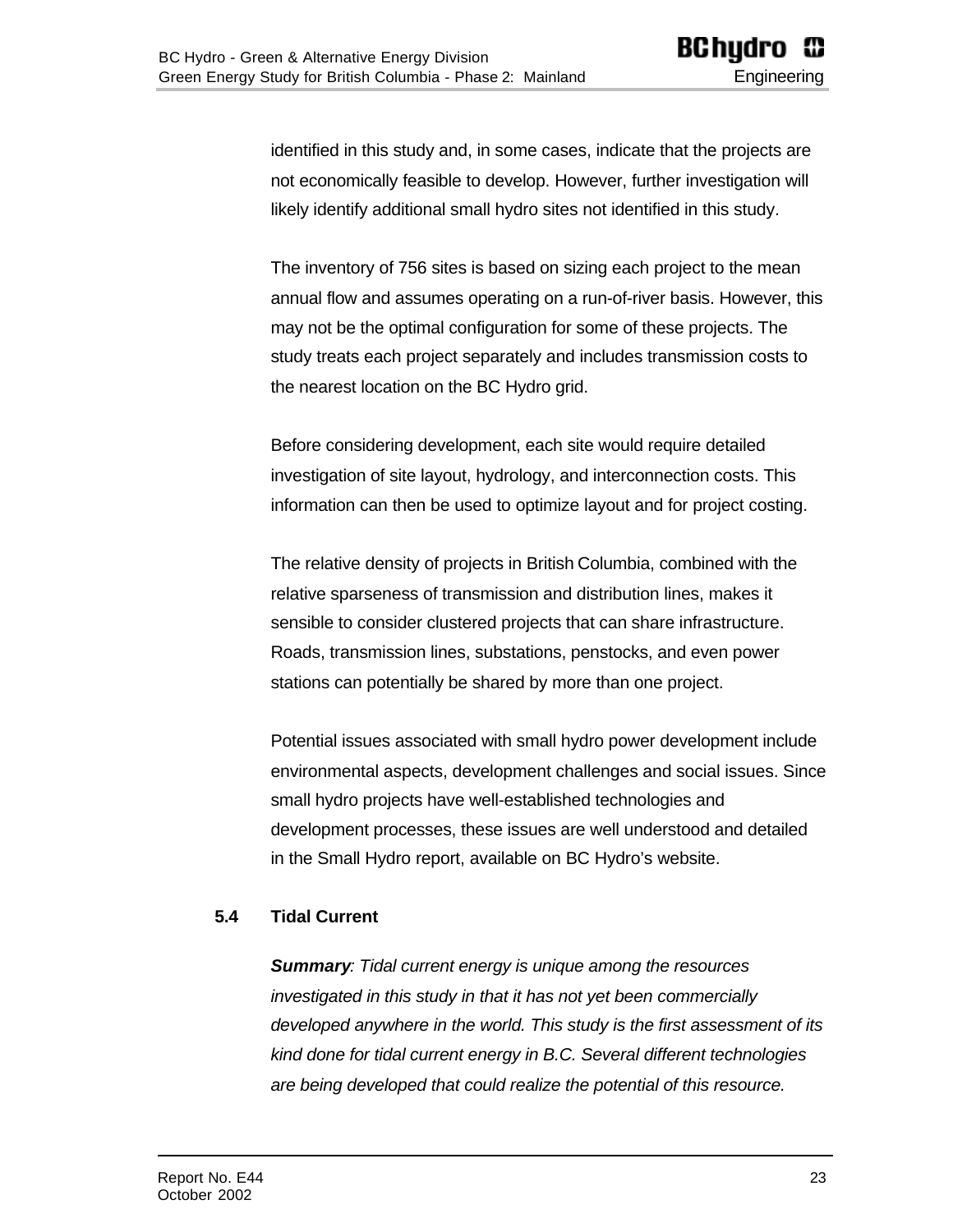identified in this study and, in some cases, indicate that the projects are not economically feasible to develop. However, further investigation will likely identify additional small hydro sites not identified in this study.

The inventory of 756 sites is based on sizing each project to the mean annual flow and assumes operating on a run-of-river basis. However, this may not be the optimal configuration for some of these projects. The study treats each project separately and includes transmission costs to the nearest location on the BC Hydro grid.

Before considering development, each site would require detailed investigation of site layout, hydrology, and interconnection costs. This information can then be used to optimize layout and for project costing.

The relative density of projects in British Columbia, combined with the relative sparseness of transmission and distribution lines, makes it sensible to consider clustered projects that can share infrastructure. Roads, transmission lines, substations, penstocks, and even power stations can potentially be shared by more than one project.

Potential issues associated with small hydro power development include environmental aspects, development challenges and social issues. Since small hydro projects have well-established technologies and development processes, these issues are well understood and detailed in the Small Hydro report, available on BC Hydro's website.

#### <span id="page-22-0"></span>**5.4 Tidal Current**

*Summary: Tidal current energy is unique among the resources investigated in this study in that it has not yet been commercially developed anywhere in the world. This study is the first assessment of its kind done for tidal current energy in B.C. Several different technologies are being developed that could realize the potential of this resource.*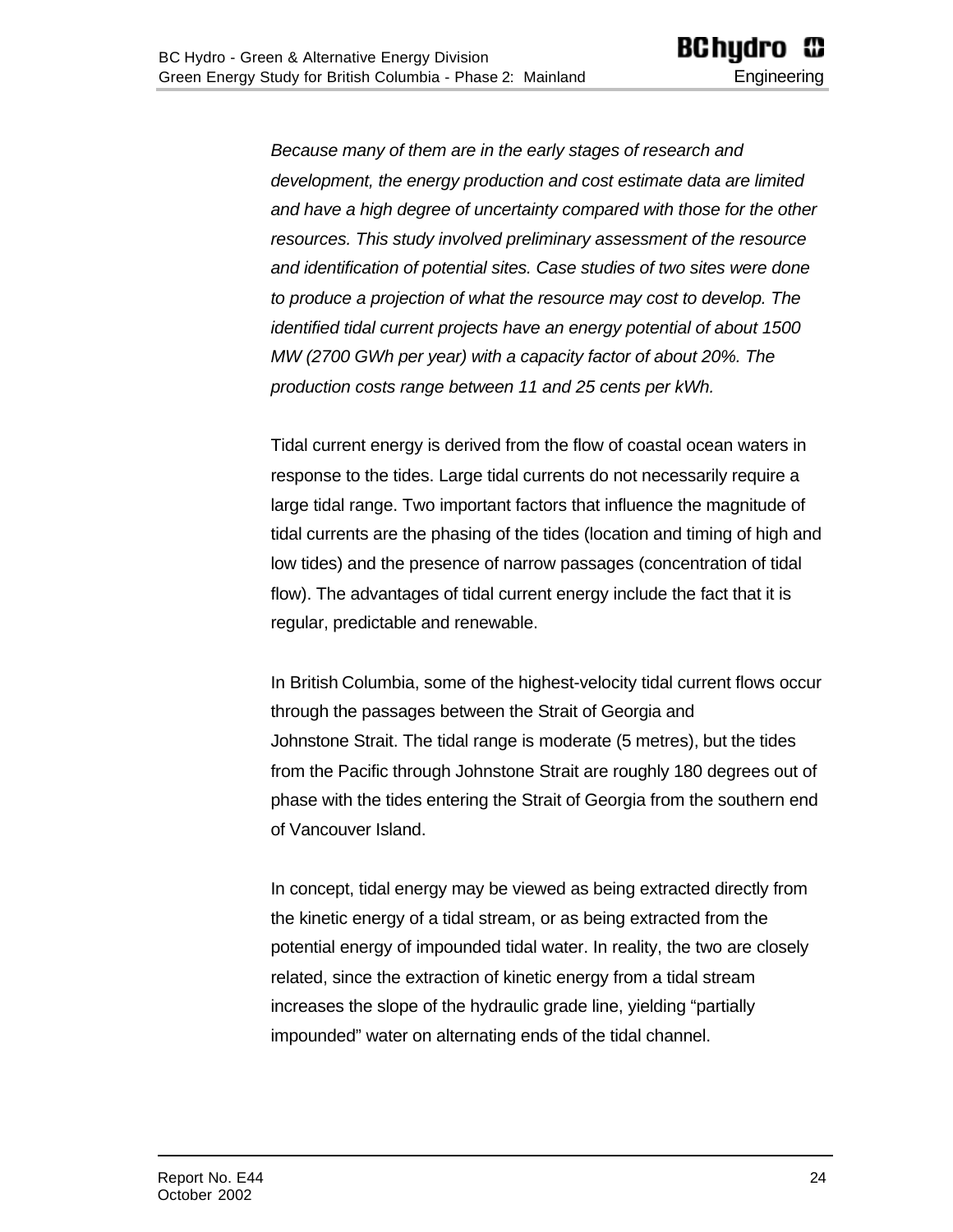*Because many of them are in the early stages of research and development, the energy production and cost estimate data are limited and have a high degree of uncertainty compared with those for the other resources. This study involved preliminary assessment of the resource and identification of potential sites. Case studies of two sites were done to produce a projection of what the resource may cost to develop. The identified tidal current projects have an energy potential of about 1500 MW (2700 GWh per year) with a capacity factor of about 20%. The production costs range between 11 and 25 cents per kWh.*

Tidal current energy is derived from the flow of coastal ocean waters in response to the tides. Large tidal currents do not necessarily require a large tidal range. Two important factors that influence the magnitude of tidal currents are the phasing of the tides (location and timing of high and low tides) and the presence of narrow passages (concentration of tidal flow). The advantages of tidal current energy include the fact that it is regular, predictable and renewable.

In British Columbia, some of the highest-velocity tidal current flows occur through the passages between the Strait of Georgia and Johnstone Strait. The tidal range is moderate (5 metres), but the tides from the Pacific through Johnstone Strait are roughly 180 degrees out of phase with the tides entering the Strait of Georgia from the southern end of Vancouver Island.

In concept, tidal energy may be viewed as being extracted directly from the kinetic energy of a tidal stream, or as being extracted from the potential energy of impounded tidal water. In reality, the two are closely related, since the extraction of kinetic energy from a tidal stream increases the slope of the hydraulic grade line, yielding "partially impounded" water on alternating ends of the tidal channel.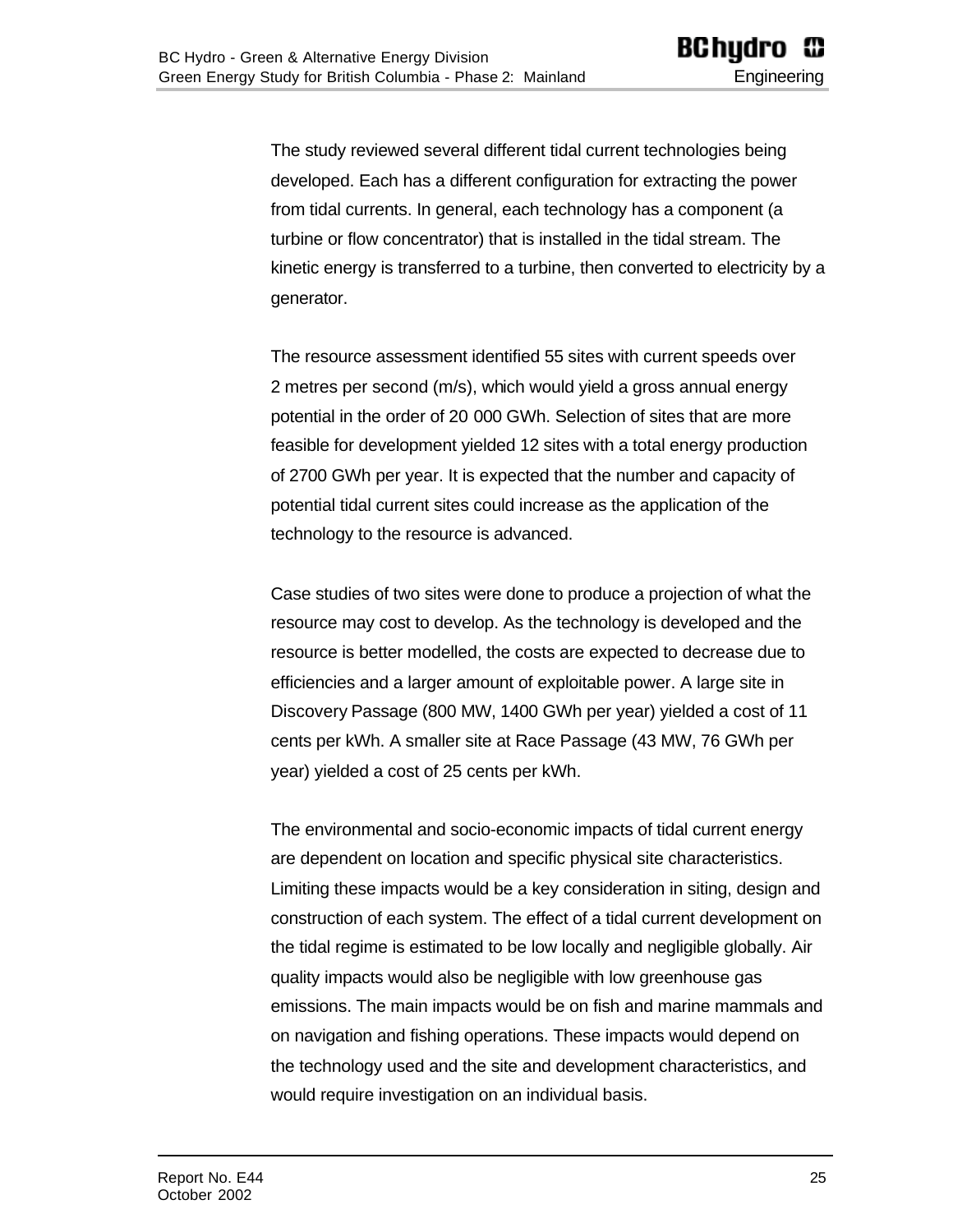The study reviewed several different tidal current technologies being developed. Each has a different configuration for extracting the power from tidal currents. In general, each technology has a component (a turbine or flow concentrator) that is installed in the tidal stream. The kinetic energy is transferred to a turbine, then converted to electricity by a generator.

The resource assessment identified 55 sites with current speeds over 2 metres per second (m/s), which would yield a gross annual energy potential in the order of 20 000 GWh. Selection of sites that are more feasible for development yielded 12 sites with a total energy production of 2700 GWh per year. It is expected that the number and capacity of potential tidal current sites could increase as the application of the technology to the resource is advanced.

Case studies of two sites were done to produce a projection of what the resource may cost to develop. As the technology is developed and the resource is better modelled, the costs are expected to decrease due to efficiencies and a larger amount of exploitable power. A large site in Discovery Passage (800 MW, 1400 GWh per year) yielded a cost of 11 cents per kWh. A smaller site at Race Passage (43 MW, 76 GWh per year) yielded a cost of 25 cents per kWh.

The environmental and socio-economic impacts of tidal current energy are dependent on location and specific physical site characteristics. Limiting these impacts would be a key consideration in siting, design and construction of each system. The effect of a tidal current development on the tidal regime is estimated to be low locally and negligible globally. Air quality impacts would also be negligible with low greenhouse gas emissions. The main impacts would be on fish and marine mammals and on navigation and fishing operations. These impacts would depend on the technology used and the site and development characteristics, and would require investigation on an individual basis.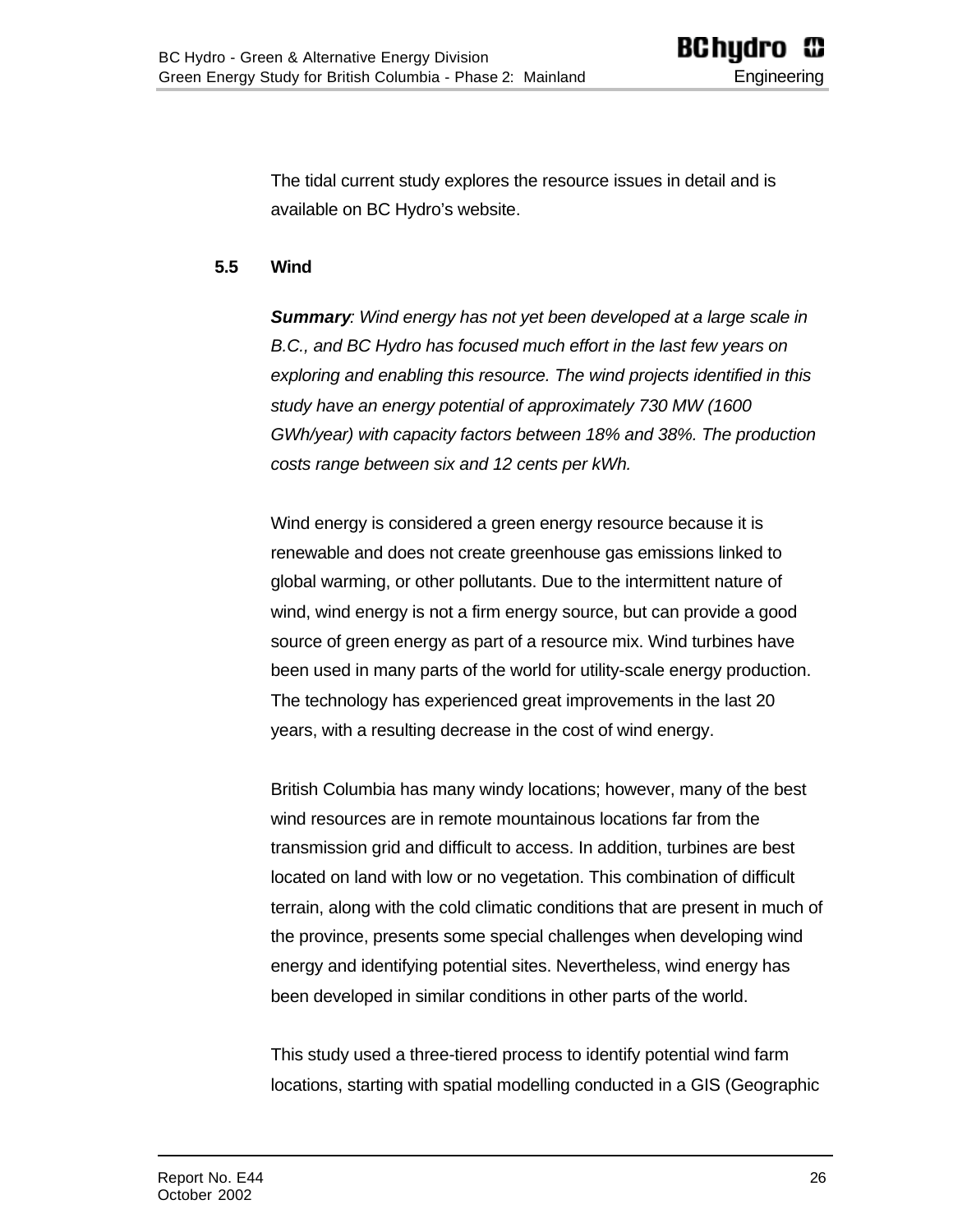<span id="page-25-0"></span>The tidal current study explores the resource issues in detail and is available on BC Hydro's website.

#### **5.5 Wind**

*Summary: Wind energy has not yet been developed at a large scale in B.C., and BC Hydro has focused much effort in the last few years on exploring and enabling this resource. The wind projects identified in this study have an energy potential of approximately 730 MW (1600 GWh/year) with capacity factors between 18% and 38%. The production costs range between six and 12 cents per kWh.*

Wind energy is considered a green energy resource because it is renewable and does not create greenhouse gas emissions linked to global warming, or other pollutants. Due to the intermittent nature of wind, wind energy is not a firm energy source, but can provide a good source of green energy as part of a resource mix. Wind turbines have been used in many parts of the world for utility-scale energy production. The technology has experienced great improvements in the last 20 years, with a resulting decrease in the cost of wind energy.

British Columbia has many windy locations; however, many of the best wind resources are in remote mountainous locations far from the transmission grid and difficult to access. In addition, turbines are best located on land with low or no vegetation. This combination of difficult terrain, along with the cold climatic conditions that are present in much of the province, presents some special challenges when developing wind energy and identifying potential sites. Nevertheless, wind energy has been developed in similar conditions in other parts of the world.

This study used a three-tiered process to identify potential wind farm locations, starting with spatial modelling conducted in a GIS (Geographic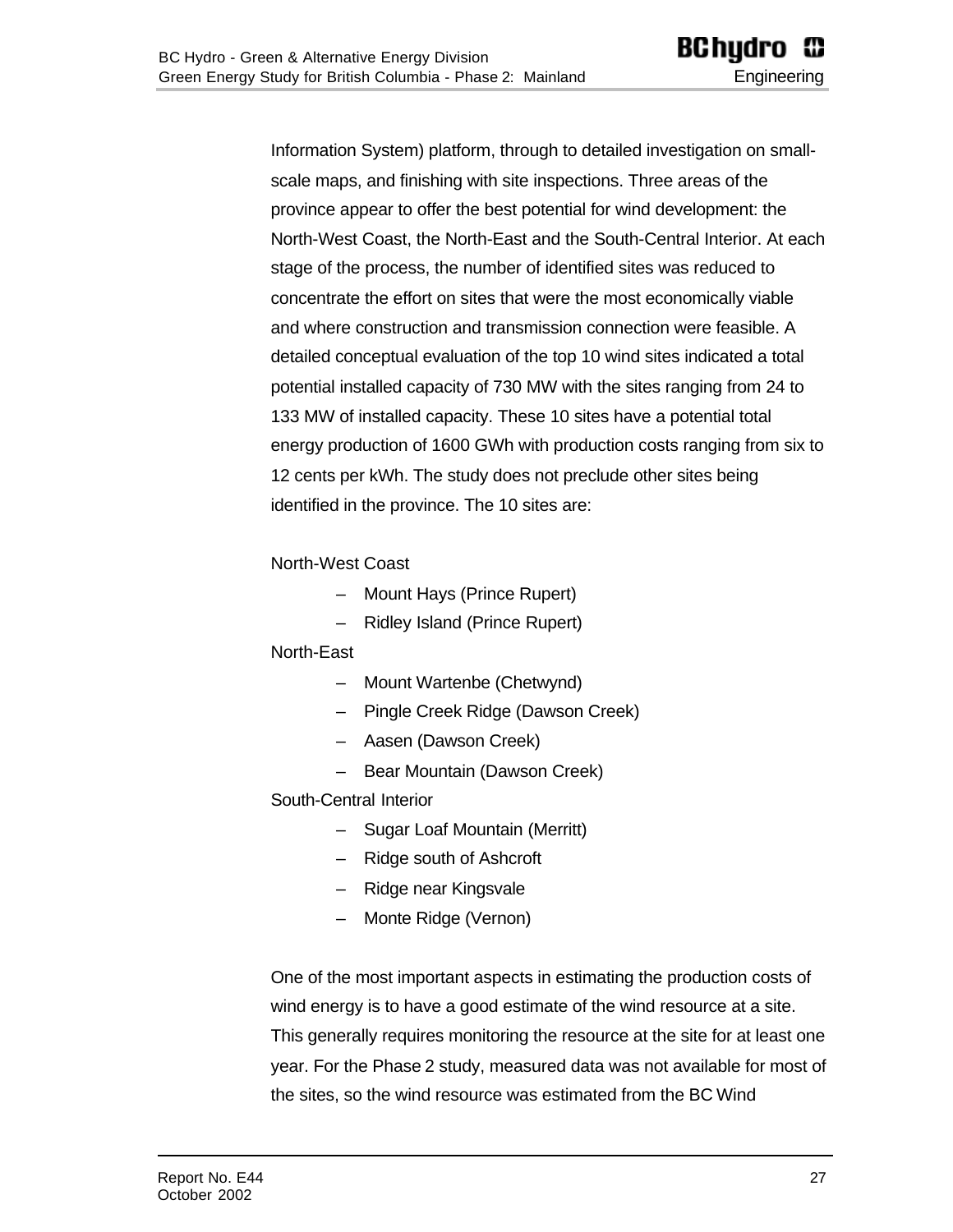Information System) platform, through to detailed investigation on smallscale maps, and finishing with site inspections. Three areas of the province appear to offer the best potential for wind development: the North-West Coast, the North-East and the South-Central Interior. At each stage of the process, the number of identified sites was reduced to concentrate the effort on sites that were the most economically viable and where construction and transmission connection were feasible. A detailed conceptual evaluation of the top 10 wind sites indicated a total potential installed capacity of 730 MW with the sites ranging from 24 to 133 MW of installed capacity. These 10 sites have a potential total energy production of 1600 GWh with production costs ranging from six to 12 cents per kWh. The study does not preclude other sites being identified in the province. The 10 sites are:

#### North-West Coast

- Mount Hays (Prince Rupert)
- Ridley Island (Prince Rupert)

#### North-East

- Mount Wartenbe (Chetwynd)
- Pingle Creek Ridge (Dawson Creek)
- Aasen (Dawson Creek)
- Bear Mountain (Dawson Creek)

#### South-Central Interior

- Sugar Loaf Mountain (Merritt)
- Ridge south of Ashcroft
- Ridge near Kingsvale
- Monte Ridge (Vernon)

One of the most important aspects in estimating the production costs of wind energy is to have a good estimate of the wind resource at a site. This generally requires monitoring the resource at the site for at least one year. For the Phase 2 study, measured data was not available for most of the sites, so the wind resource was estimated from the BC Wind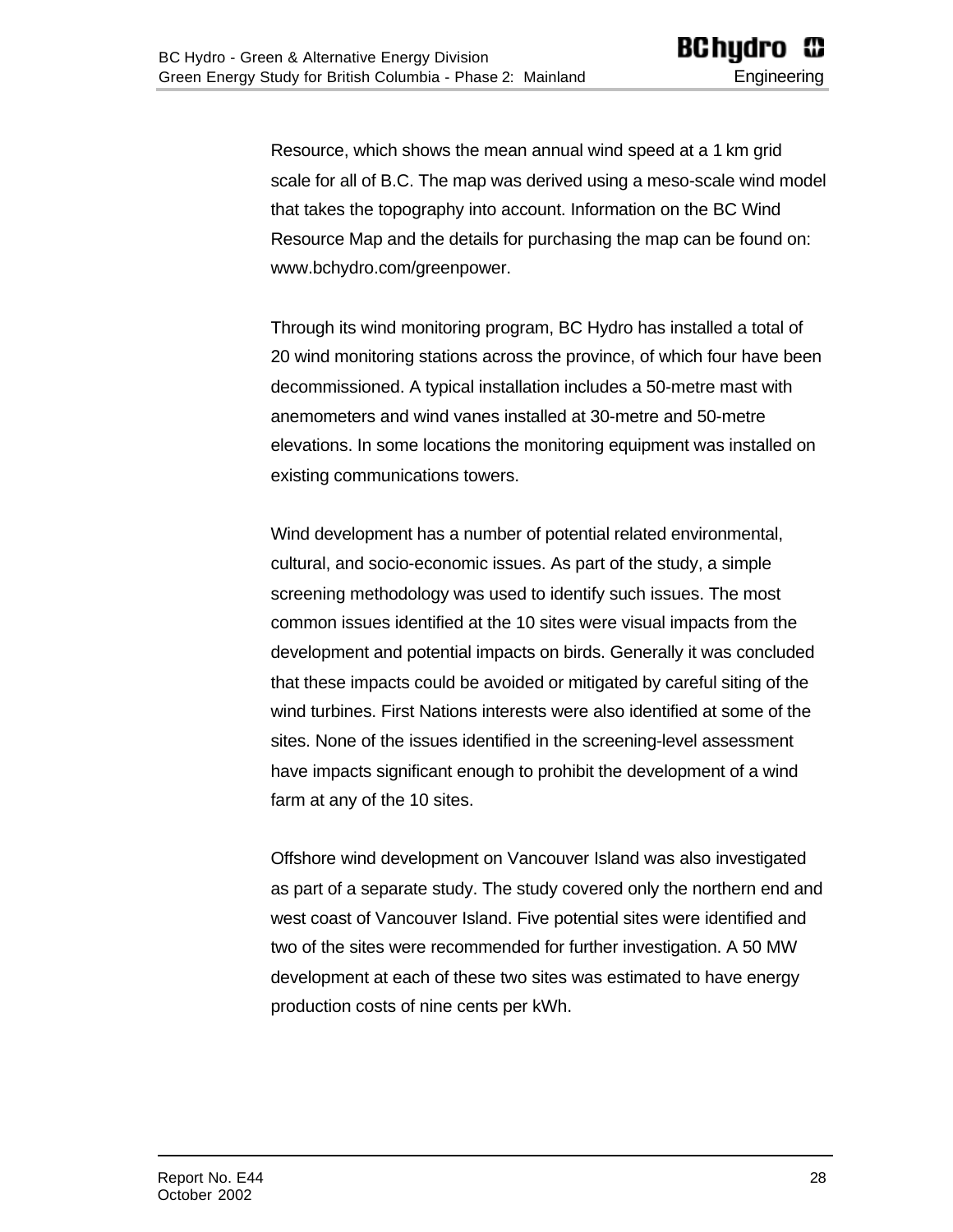Resource, which shows the mean annual wind speed at a 1 km grid scale for all of B.C. The map was derived using a meso-scale wind model that takes the topography into account. Information on the BC Wind Resource Map and the details for purchasing the map can be found on: www.bchydro.com/greenpower.

Through its wind monitoring program, BC Hydro has installed a total of 20 wind monitoring stations across the province, of which four have been decommissioned. A typical installation includes a 50-metre mast with anemometers and wind vanes installed at 30-metre and 50-metre elevations. In some locations the monitoring equipment was installed on existing communications towers.

Wind development has a number of potential related environmental, cultural, and socio-economic issues. As part of the study, a simple screening methodology was used to identify such issues. The most common issues identified at the 10 sites were visual impacts from the development and potential impacts on birds. Generally it was concluded that these impacts could be avoided or mitigated by careful siting of the wind turbines. First Nations interests were also identified at some of the sites. None of the issues identified in the screening-level assessment have impacts significant enough to prohibit the development of a wind farm at any of the 10 sites.

Offshore wind development on Vancouver Island was also investigated as part of a separate study. The study covered only the northern end and west coast of Vancouver Island. Five potential sites were identified and two of the sites were recommended for further investigation. A 50 MW development at each of these two sites was estimated to have energy production costs of nine cents per kWh.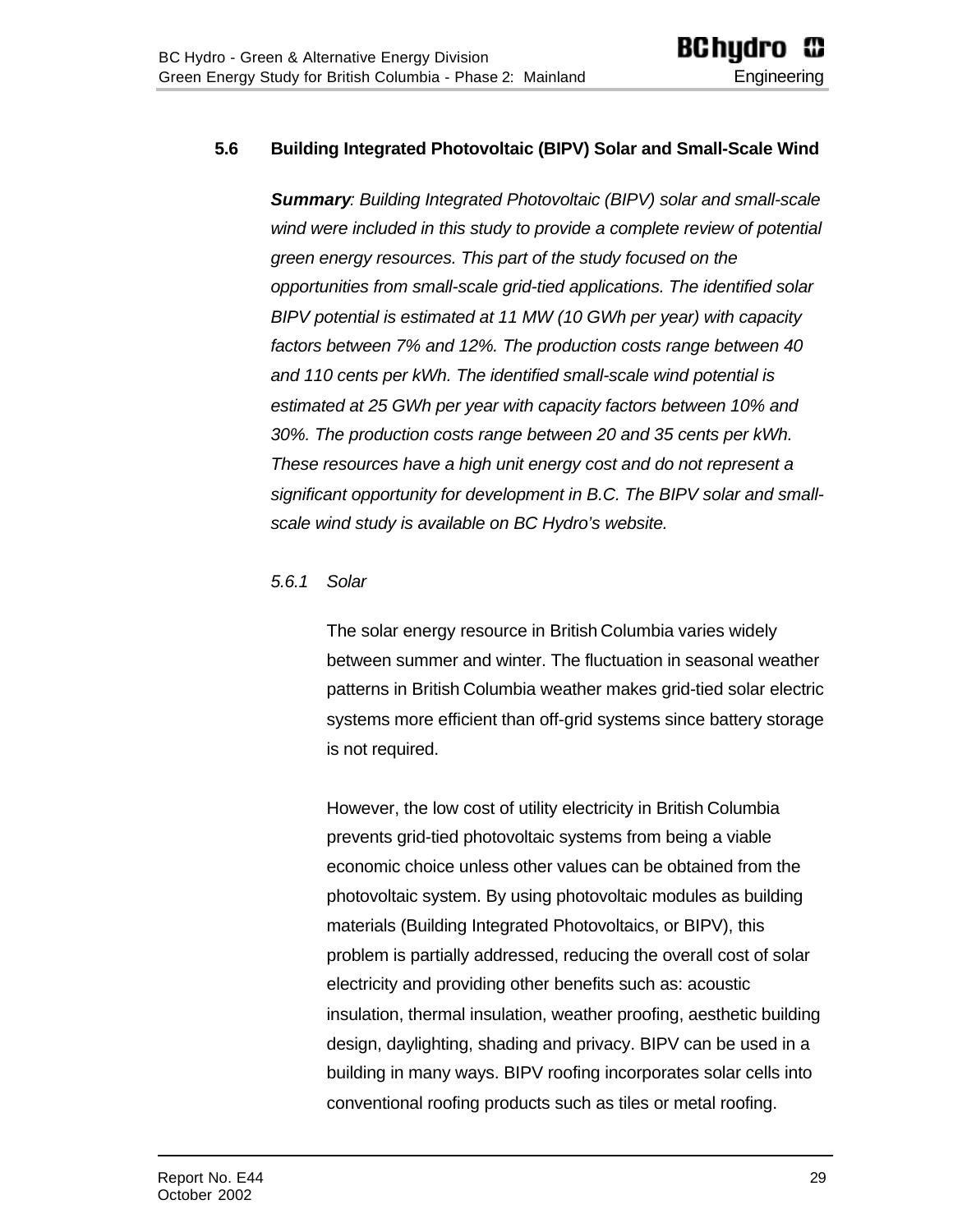#### <span id="page-28-0"></span>**5.6 Building Integrated Photovoltaic (BIPV) Solar and Small-Scale Wind**

*Summary: Building Integrated Photovoltaic (BIPV) solar and small-scale wind were included in this study to provide a complete review of potential green energy resources. This part of the study focused on the opportunities from small-scale grid-tied applications. The identified solar BIPV potential is estimated at 11 MW (10 GWh per year) with capacity factors between 7% and 12%. The production costs range between 40 and 110 cents per kWh. The identified small-scale wind potential is estimated at 25 GWh per year with capacity factors between 10% and 30%. The production costs range between 20 and 35 cents per kWh. These resources have a high unit energy cost and do not represent a significant opportunity for development in B.C. The BIPV solar and smallscale wind study is available on BC Hydro's website.*

#### <span id="page-28-1"></span>*5.6.1 Solar*

The solar energy resource in British Columbia varies widely between summer and winter. The fluctuation in seasonal weather patterns in British Columbia weather makes grid-tied solar electric systems more efficient than off-grid systems since battery storage is not required.

However, the low cost of utility electricity in British Columbia prevents grid-tied photovoltaic systems from being a viable economic choice unless other values can be obtained from the photovoltaic system. By using photovoltaic modules as building materials (Building Integrated Photovoltaics, or BIPV), this problem is partially addressed, reducing the overall cost of solar electricity and providing other benefits such as: acoustic insulation, thermal insulation, weather proofing, aesthetic building design, daylighting, shading and privacy. BIPV can be used in a building in many ways. BIPV roofing incorporates solar cells into conventional roofing products such as tiles or metal roofing.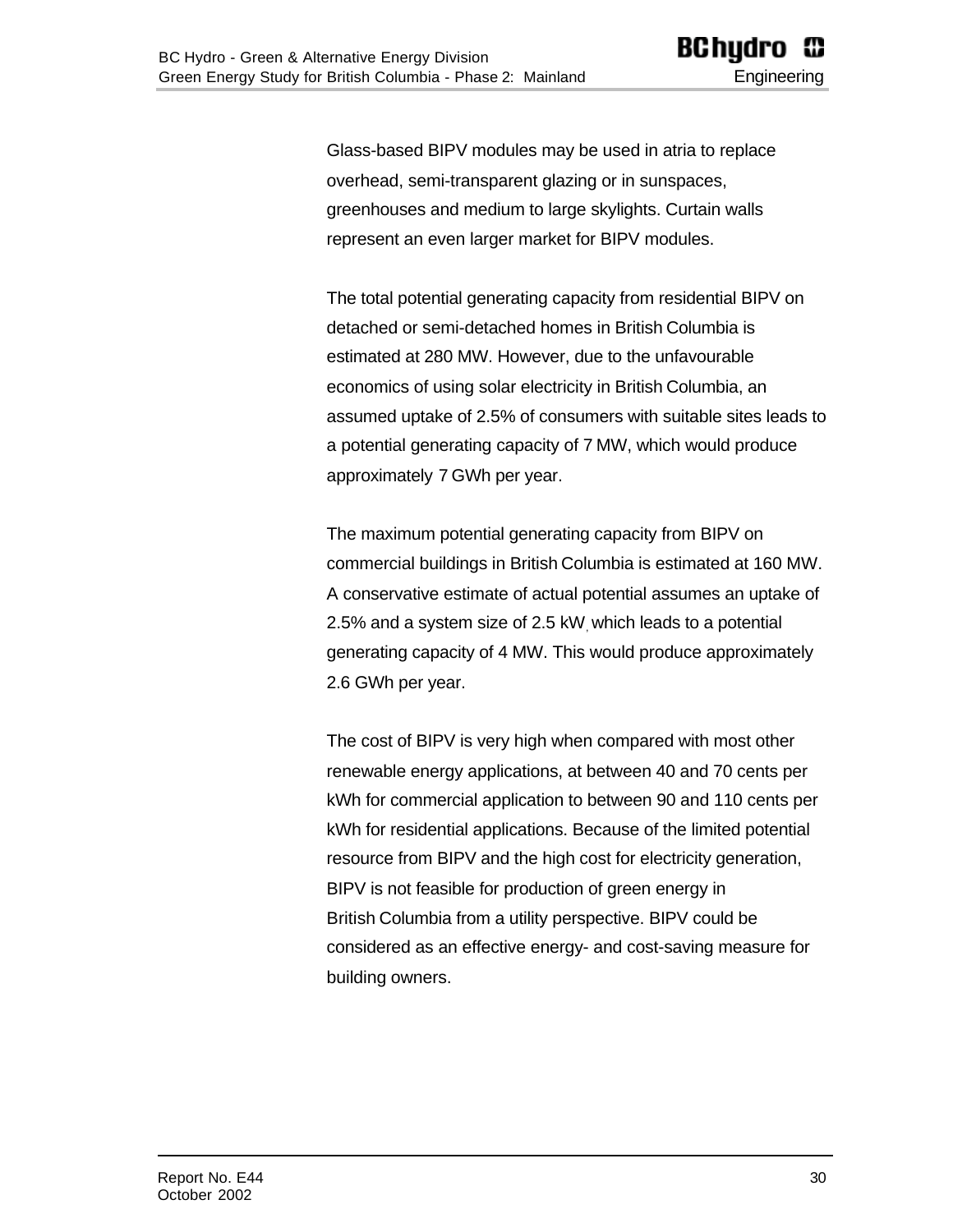Glass-based BIPV modules may be used in atria to replace overhead, semi-transparent glazing or in sunspaces, greenhouses and medium to large skylights. Curtain walls represent an even larger market for BIPV modules.

The total potential generating capacity from residential BIPV on detached or semi-detached homes in British Columbia is estimated at 280 MW. However, due to the unfavourable economics of using solar electricity in British Columbia, an assumed uptake of 2.5% of consumers with suitable sites leads to a potential generating capacity of 7 MW, which would produce approximately 7 GWh per year.

The maximum potential generating capacity from BIPV on commercial buildings in British Columbia is estimated at 160 MW. A conservative estimate of actual potential assumes an uptake of 2.5% and a system size of 2.5 kW, which leads to a potential generating capacity of 4 MW. This would produce approximately 2.6 GWh per year.

The cost of BIPV is very high when compared with most other renewable energy applications, at between 40 and 70 cents per kWh for commercial application to between 90 and 110 cents per kWh for residential applications. Because of the limited potential resource from BIPV and the high cost for electricity generation, BIPV is not feasible for production of green energy in British Columbia from a utility perspective. BIPV could be considered as an effective energy- and cost-saving measure for building owners.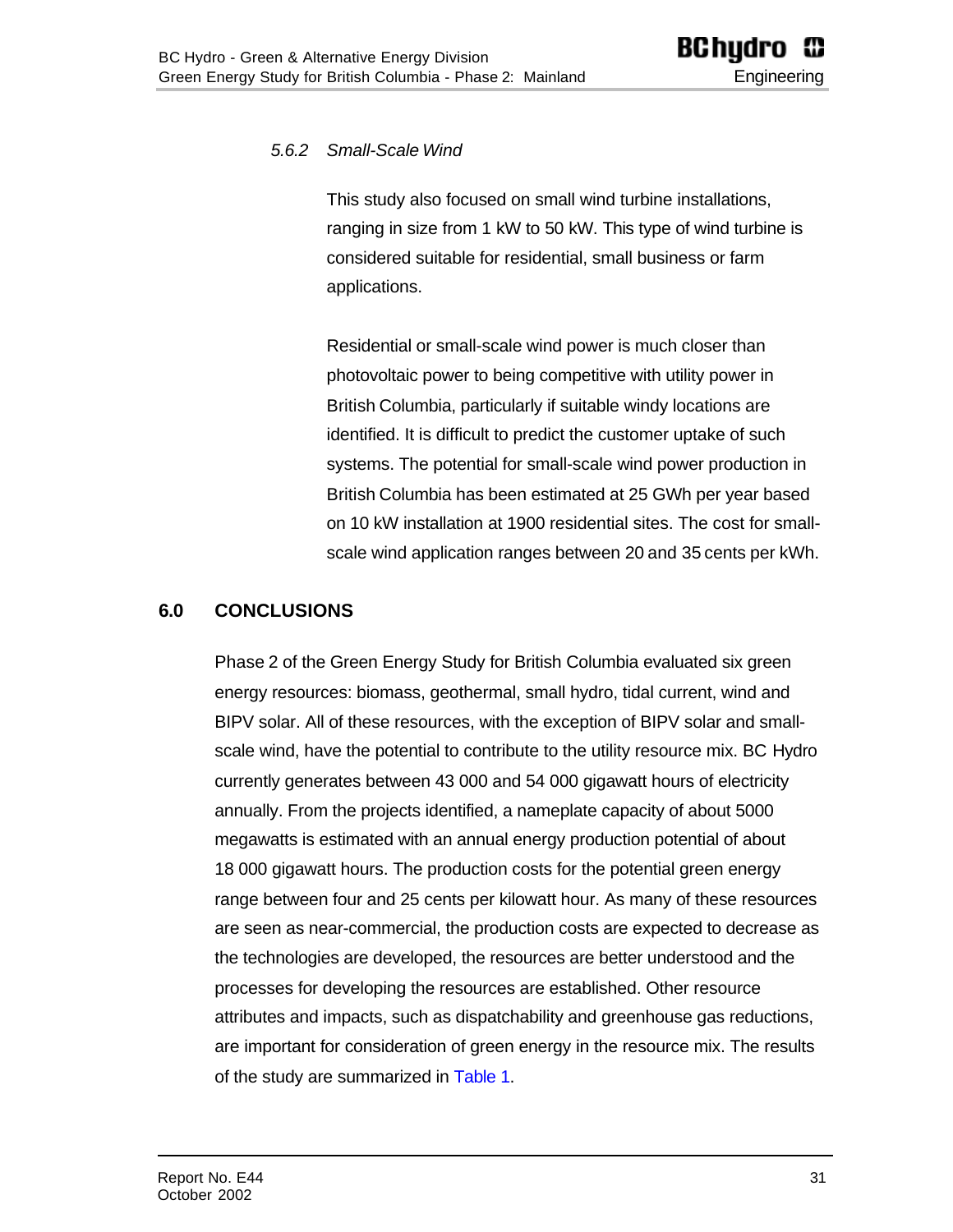#### <span id="page-30-0"></span>*5.6.2 Small-Scale Wind*

This study also focused on small wind turbine installations, ranging in size from 1 kW to 50 kW. This type of wind turbine is considered suitable for residential, small business or farm applications.

Residential or small-scale wind power is much closer than photovoltaic power to being competitive with utility power in British Columbia, particularly if suitable windy locations are identified. It is difficult to predict the customer uptake of such systems. The potential for small-scale wind power production in British Columbia has been estimated at 25 GWh per year based on 10 kW installation at 1900 residential sites. The cost for smallscale wind application ranges between 20 and 35 cents per kWh.

#### <span id="page-30-1"></span>**6.0 CONCLUSIONS**

Phase 2 of the Green Energy Study for British Columbia evaluated six green energy resources: biomass, geothermal, small hydro, tidal current, wind and BIPV solar. All of these resources, with the exception of BIPV solar and smallscale wind, have the potential to contribute to the utility resource mix. BC Hydro currently generates between 43 000 and 54 000 gigawatt hours of electricity annually. From the projects identified, a nameplate capacity of about 5000 megawatts is estimated with an annual energy production potential of about 18 000 gigawatt hours. The production costs for the potential green energy range between four and 25 cents per kilowatt hour. As many of these resources are seen as near-commercial, the production costs are expected to decrease as the technologies are developed, the resources are better understood and the processes for developing the resources are established. Other resource attributes and impacts, such as dispatchability and greenhouse gas reductions, are important for consideration of green energy in the resource mix. The results of the study are summarized in [Table 1.](#page-32-1)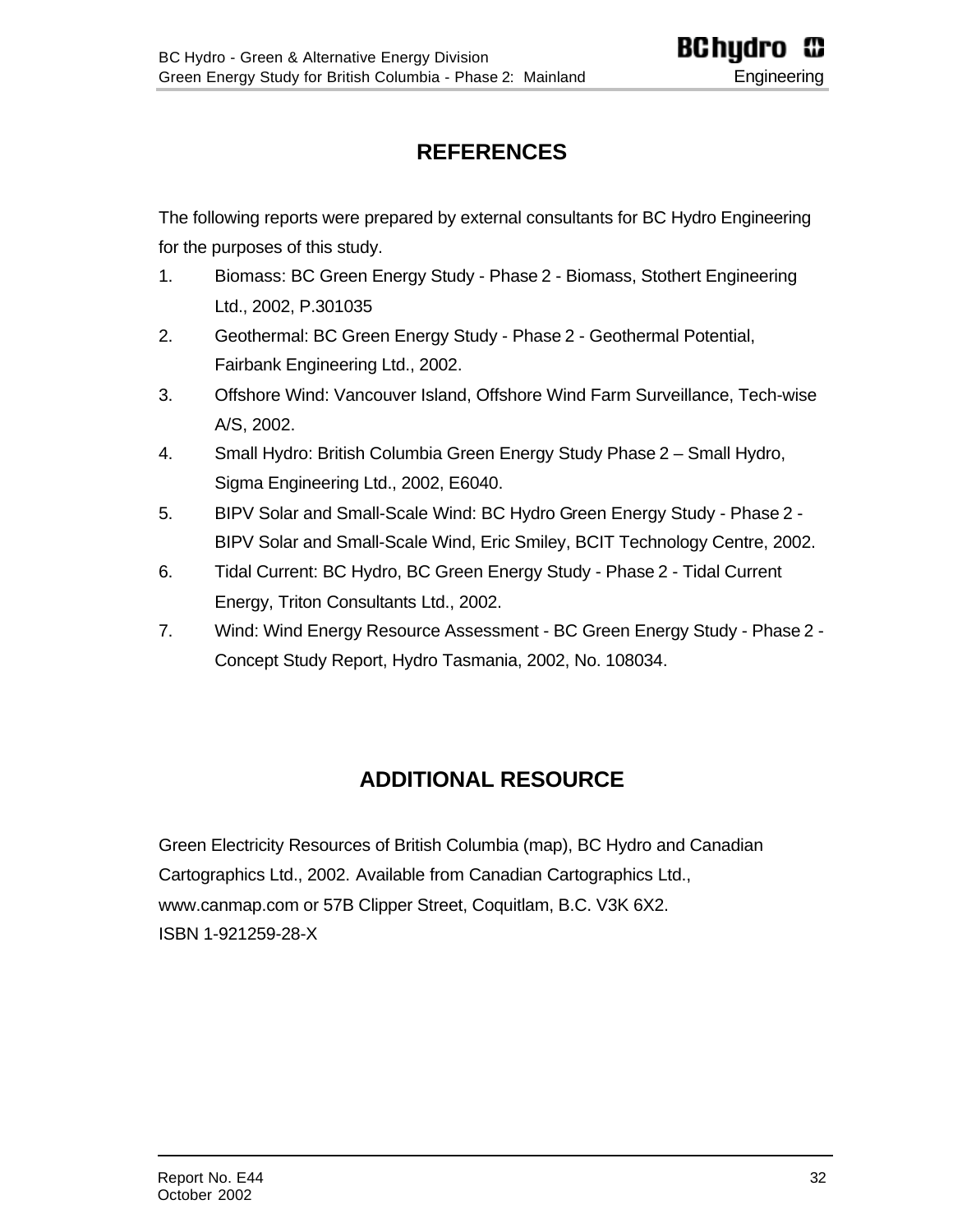# **REFERENCES**

<span id="page-31-0"></span>The following reports were prepared by external consultants for BC Hydro Engineering for the purposes of this study.

- 1. Biomass: BC Green Energy Study Phase 2 Biomass, Stothert Engineering Ltd., 2002, P.301035
- 2. Geothermal: BC Green Energy Study Phase 2 Geothermal Potential, Fairbank Engineering Ltd., 2002.
- 3. Offshore Wind: Vancouver Island, Offshore Wind Farm Surveillance, Tech-wise A/S, 2002.
- 4. Small Hydro: British Columbia Green Energy Study Phase 2 Small Hydro, Sigma Engineering Ltd., 2002, E6040.
- 5. BIPV Solar and Small-Scale Wind: BC Hydro Green Energy Study Phase 2 BIPV Solar and Small-Scale Wind, Eric Smiley, BCIT Technology Centre, 2002.
- 6. Tidal Current: BC Hydro, BC Green Energy Study Phase 2 Tidal Current Energy, Triton Consultants Ltd., 2002.
- <span id="page-31-1"></span>7. Wind: Wind Energy Resource Assessment - BC Green Energy Study - Phase 2 - Concept Study Report, Hydro Tasmania, 2002, No. 108034.

# **ADDITIONAL RESOURCE**

Green Electricity Resources of British Columbia (map), BC Hydro and Canadian Cartographics Ltd., 2002. Available from Canadian Cartographics Ltd., www.canmap.com or 57B Clipper Street, Coquitlam, B.C. V3K 6X2. ISBN 1-921259-28-X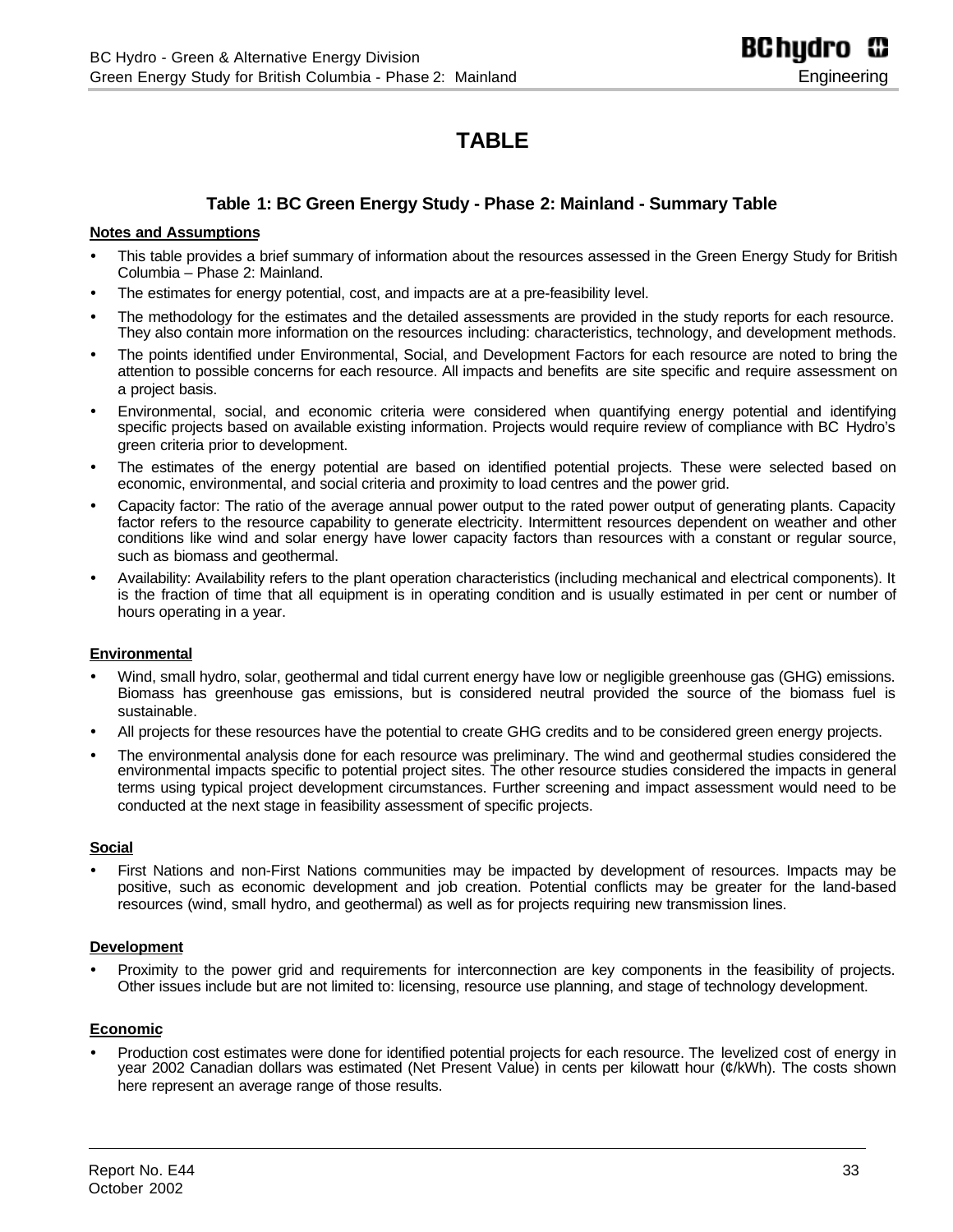# **TABLE**

#### **Table 1: BC Green Energy Study - Phase 2: Mainland - Summary Table**

#### <span id="page-32-1"></span><span id="page-32-0"></span>**Notes and Assumptions**

- This table provides a brief summary of information about the resources assessed in the Green Energy Study for British Columbia – Phase 2: Mainland.
- The estimates for energy potential, cost, and impacts are at a pre-feasibility level.
- ü The methodology for the estimates and the detailed assessments are provided in the study reports for each resource. They also contain more information on the resources including: characteristics, technology, and development methods.
- ü The points identified under Environmental, Social, and Development Factors for each resource are noted to bring the attention to possible concerns for each resource. All impacts and benefits are site specific and require assessment on a project basis.
- ü Environmental, social, and economic criteria were considered when quantifying energy potential and identifying specific projects based on available existing information. Projects would require review of compliance with BC Hydro's green criteria prior to development.
- ü The estimates of the energy potential are based on identified potential projects. These were selected based on economic, environmental, and social criteria and proximity to load centres and the power grid.
- ü Capacity factor: The ratio of the average annual power output to the rated power output of generating plants. Capacity factor refers to the resource capability to generate electricity. Intermittent resources dependent on weather and other conditions like wind and solar energy have lower capacity factors than resources with a constant or regular source, such as biomass and geothermal.
- ü Availability: Availability refers to the plant operation characteristics (including mechanical and electrical components). It is the fraction of time that all equipment is in operating condition and is usually estimated in per cent or number of hours operating in a year.

#### **Environmental**

- Wind, small hydro, solar, geothermal and tidal current energy have low or negligible greenhouse gas (GHG) emissions. Biomass has greenhouse gas emissions, but is considered neutral provided the source of the biomass fuel is sustainable.
- All projects for these resources have the potential to create GHG credits and to be considered green energy projects.
- ü The environmental analysis done for each resource was preliminary. The wind and geothermal studies considered the environmental impacts specific to potential project sites. The other resource studies considered the impacts in general terms using typical project development circumstances. Further screening and impact assessment would need to be conducted at the next stage in feasibility assessment of specific projects.

#### **Social**

First Nations and non-First Nations communities may be impacted by development of resources. Impacts may be positive, such as economic development and job creation. Potential conflicts may be greater for the land-based resources (wind, small hydro, and geothermal) as well as for projects requiring new transmission lines.

#### **Development**

Proximity to the power grid and requirements for interconnection are key components in the feasibility of projects. Other issues include but are not limited to: licensing, resource use planning, and stage of technology development.

#### **Economic**

ü Production cost estimates were done for identified potential projects for each resource. The levelized cost of energy in year 2002 Canadian dollars was estimated (Net Present Value) in cents per kilowatt hour (¢/kWh). The costs shown here represent an average range of those results.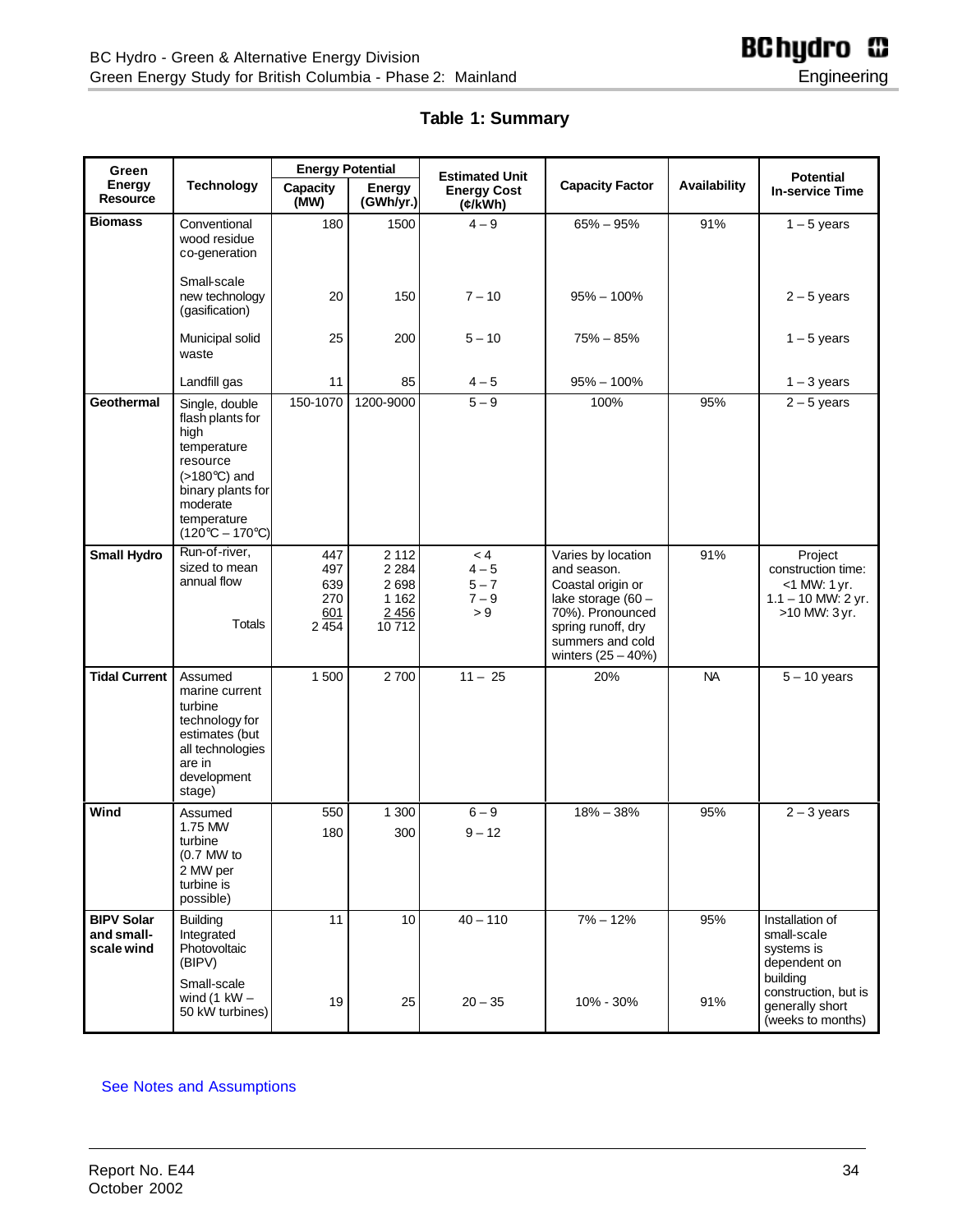#### **Table 1: Summary**

<span id="page-33-0"></span>

| Green                                         |                                                                                                                                                                                   | <b>Energy Potential</b>                    |                                                           | <b>Estimated Unit</b>                                        |                                                                                                                                                                    |              | <b>Potential</b>                                                                          |
|-----------------------------------------------|-----------------------------------------------------------------------------------------------------------------------------------------------------------------------------------|--------------------------------------------|-----------------------------------------------------------|--------------------------------------------------------------|--------------------------------------------------------------------------------------------------------------------------------------------------------------------|--------------|-------------------------------------------------------------------------------------------|
| <b>Energy</b><br><b>Resource</b>              | <b>Technology</b>                                                                                                                                                                 | Capacity<br>(MW)                           | Energy<br>(GWh/yr.)                                       | <b>Energy Cost</b><br>$(k\widetilde{\mathsf{K}}\mathsf{W}})$ | <b>Capacity Factor</b>                                                                                                                                             | Availability | <b>In-service Time</b>                                                                    |
| <b>Biomass</b>                                | Conventional<br>wood residue<br>co-generation                                                                                                                                     | 180                                        | 1500                                                      | $4 - 9$                                                      | $65\% - 95\%$                                                                                                                                                      | 91%          | $1 - 5$ years                                                                             |
|                                               | Small-scale<br>new technology<br>(gasification)                                                                                                                                   | 20                                         | 150                                                       | $7 - 10$                                                     | $95\% - 100\%$                                                                                                                                                     |              | $2 - 5$ years                                                                             |
|                                               | Municipal solid<br>waste                                                                                                                                                          | 25                                         | 200                                                       | $5 - 10$                                                     | 75% – 85%                                                                                                                                                          |              | $1 - 5$ years                                                                             |
|                                               | Landfill gas                                                                                                                                                                      | 11                                         | 85                                                        | $4 - 5$                                                      | $95\% - 100\%$                                                                                                                                                     |              | $1 - 3$ years                                                                             |
| <b>Geothermal</b>                             | Single, double<br>flash plants for<br>high<br>temperature<br>resource<br>$(>180^{\circ}C)$ and<br>binary plants for<br>moderate<br>temperature<br>$(120^{\circ}C - 170^{\circ}C)$ | 150-1070                                   | 1200-9000                                                 | $5-9$                                                        | 100%                                                                                                                                                               | 95%          | $2 - 5$ years                                                                             |
| <b>Small Hydro</b>                            | Run-of-river,<br>sized to mean<br>annual flow<br><b>Totals</b>                                                                                                                    | 447<br>497<br>639<br>270<br>601<br>2 4 5 4 | 2 1 1 2<br>2 2 8 4<br>2698<br>1 1 6 2<br>2 4 5 6<br>10712 | < 4<br>$4 - 5$<br>$5 - 7$<br>$7 - 9$<br>> 9                  | Varies by location<br>and season.<br>Coastal origin or<br>lake storage (60 -<br>70%). Pronounced<br>spring runoff, dry<br>summers and cold<br>winters $(25 - 40%)$ | 91%          | Project<br>construction time:<br>$<$ 1 MW: 1 yr.<br>$1.1 - 10$ MW: 2 yr.<br>>10 MW: 3 yr. |
| <b>Tidal Current</b>                          | Assumed<br>marine current<br>turbine<br>technology for<br>estimates (but<br>all technologies<br>are in<br>development<br>stage)                                                   | 1500                                       | 2700                                                      | $11 - 25$                                                    | 20%                                                                                                                                                                | <b>NA</b>    | $5 - 10$ years                                                                            |
| Wind                                          | Assumed<br>1.75 MW<br>turbine<br>$(0.7$ MW to<br>2 MW per<br>turbine is<br>possible)                                                                                              | 550<br>180                                 | 1 300<br>300                                              | $6 - 9$<br>$9 - 12$                                          | $18\% - 38\%$                                                                                                                                                      | 95%          | $2 - 3$ years                                                                             |
| <b>BIPV Solar</b><br>and small-<br>scale wind | <b>Building</b><br>Integrated<br>Photovoltaic<br>(BIPV)                                                                                                                           | 11                                         | 10                                                        | $40 - 110$                                                   | $7\% - 12\%$                                                                                                                                                       | 95%          | Installation of<br>small-scale<br>systems is<br>dependent on<br>building                  |
|                                               | Small-scale<br>wind (1 $kW -$<br>50 kW turbines)                                                                                                                                  | 19                                         | 25                                                        | $20 - 35$                                                    | 10% - 30%                                                                                                                                                          | 91%          | construction, but is<br>generally short<br>(weeks to months)                              |

#### [See Notes and Assumptions](#page-32-0)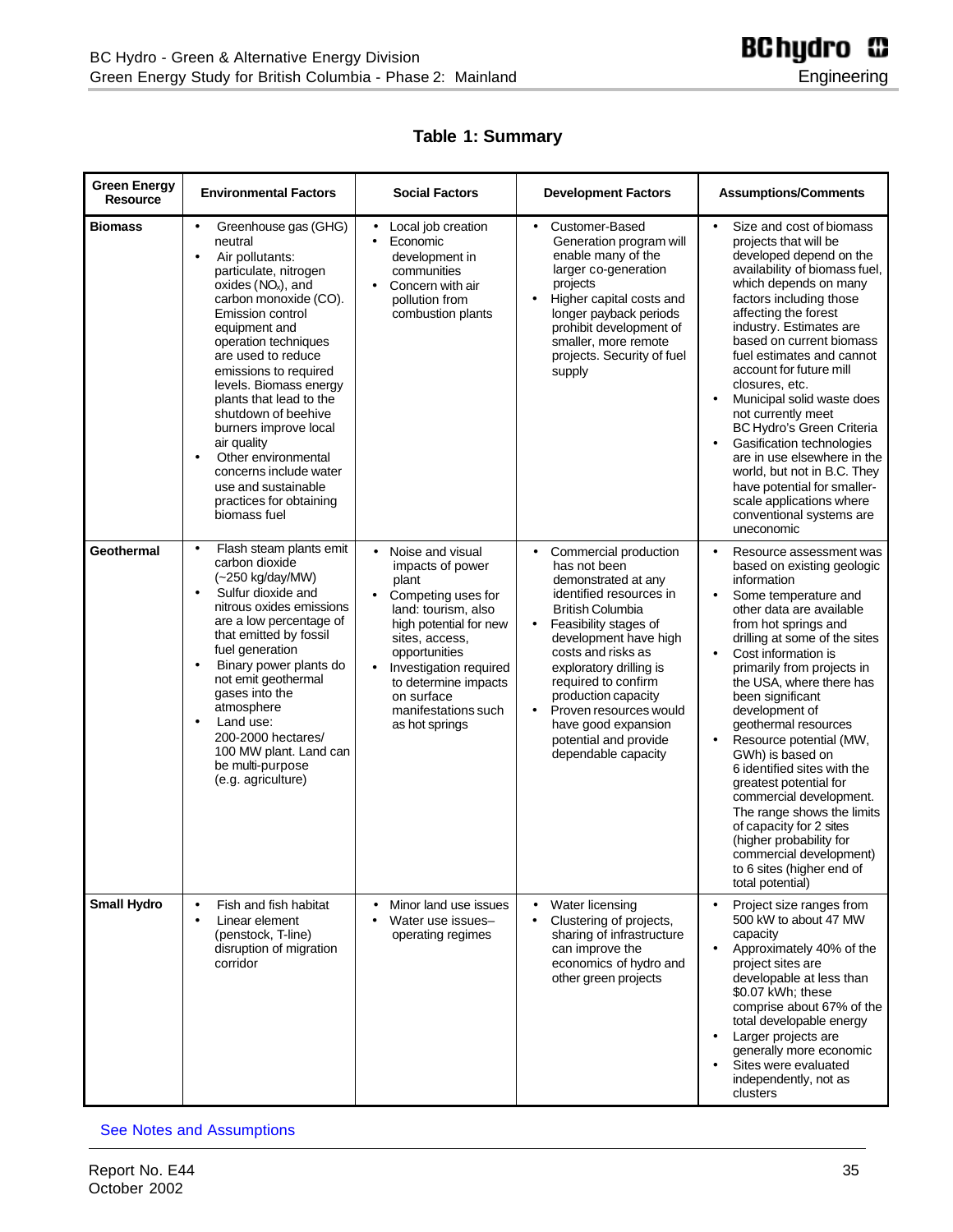| Table 1: Summary |  |
|------------------|--|
|------------------|--|

| <b>Green Energy</b><br>Resource | <b>Environmental Factors</b>                                                                                                                                                                                                                                                                                                                                                                                                                                                                                                  | <b>Social Factors</b>                                                                                                                                                                                                                                                                                   | <b>Development Factors</b>                                                                                                                                                                                                                                                                                                                                                                                  | <b>Assumptions/Comments</b>                                                                                                                                                                                                                                                                                                                                                                                                                                                                                                                                                                                                                                                             |
|---------------------------------|-------------------------------------------------------------------------------------------------------------------------------------------------------------------------------------------------------------------------------------------------------------------------------------------------------------------------------------------------------------------------------------------------------------------------------------------------------------------------------------------------------------------------------|---------------------------------------------------------------------------------------------------------------------------------------------------------------------------------------------------------------------------------------------------------------------------------------------------------|-------------------------------------------------------------------------------------------------------------------------------------------------------------------------------------------------------------------------------------------------------------------------------------------------------------------------------------------------------------------------------------------------------------|-----------------------------------------------------------------------------------------------------------------------------------------------------------------------------------------------------------------------------------------------------------------------------------------------------------------------------------------------------------------------------------------------------------------------------------------------------------------------------------------------------------------------------------------------------------------------------------------------------------------------------------------------------------------------------------------|
| <b>Biomass</b>                  | Greenhouse gas (GHG)<br>$\bullet$<br>neutral<br>Air pollutants:<br>$\bullet$<br>particulate, nitrogen<br>oxides $(NOx)$ , and<br>carbon monoxide (CO).<br><b>Emission control</b><br>equipment and<br>operation techniques<br>are used to reduce<br>emissions to required<br>levels. Biomass energy<br>plants that lead to the<br>shutdown of beehive<br>burners improve local<br>air quality<br>Other environmental<br>$\bullet$<br>concerns include water<br>use and sustainable<br>practices for obtaining<br>biomass fuel | Local job creation<br>$\bullet$<br>Economic<br>$\bullet$<br>development in<br>communities<br>Concern with air<br>$\bullet$<br>pollution from<br>combustion plants                                                                                                                                       | Customer-Based<br>$\bullet$<br>Generation program will<br>enable many of the<br>larger co-generation<br>projects<br>Higher capital costs and<br>longer payback periods<br>prohibit development of<br>smaller, more remote<br>projects. Security of fuel<br>supply                                                                                                                                           | Size and cost of biomass<br>$\bullet$<br>projects that will be<br>developed depend on the<br>availability of biomass fuel,<br>which depends on many<br>factors including those<br>affecting the forest<br>industry. Estimates are<br>based on current biomass<br>fuel estimates and cannot<br>account for future mill<br>closures, etc.<br>Municipal solid waste does<br>$\bullet$<br>not currently meet<br>BC Hydro's Green Criteria<br>Gasification technologies<br>are in use elsewhere in the<br>world, but not in B.C. They<br>have potential for smaller-<br>scale applications where<br>conventional systems are<br>uneconomic                                                   |
| <b>Geothermal</b>               | Flash steam plants emit<br>$\bullet$<br>carbon dioxide<br>(~250 kg/day/MW)<br>Sulfur dioxide and<br>$\bullet$<br>nitrous oxides emissions<br>are a low percentage of<br>that emitted by fossil<br>fuel generation<br>Binary power plants do<br>$\bullet$<br>not emit geothermal<br>gases into the<br>atmosphere<br>Land use:<br>$\bullet$<br>200-2000 hectares/<br>100 MW plant. Land can<br>be multi-purpose<br>(e.g. agriculture)                                                                                           | Noise and visual<br>$\bullet$<br>impacts of power<br>plant<br>Competing uses for<br>$\bullet$<br>land: tourism, also<br>high potential for new<br>sites, access,<br>opportunities<br>Investigation required<br>$\bullet$<br>to determine impacts<br>on surface<br>manifestations such<br>as hot springs | Commercial production<br>$\bullet$<br>has not been<br>demonstrated at any<br>identified resources in<br><b>British Columbia</b><br>Feasibility stages of<br>$\bullet$<br>development have high<br>costs and risks as<br>exploratory drilling is<br>required to confirm<br>production capacity<br>Proven resources would<br>$\bullet$<br>have good expansion<br>potential and provide<br>dependable capacity | Resource assessment was<br>$\bullet$<br>based on existing geologic<br>information<br>Some temperature and<br>$\bullet$<br>other data are available<br>from hot springs and<br>drilling at some of the sites<br>Cost information is<br>$\bullet$<br>primarily from projects in<br>the USA, where there has<br>been significant<br>development of<br>geothermal resources<br>Resource potential (MW,<br>$\bullet$<br>GWh) is based on<br>6 identified sites with the<br>greatest potential for<br>commercial development.<br>The range shows the limits<br>of capacity for 2 sites<br>(higher probability for<br>commercial development)<br>to 6 sites (higher end of<br>total potential) |
| <b>Small Hydro</b>              | Fish and fish habitat<br>$\bullet$<br>Linear element<br>$\bullet$<br>(penstock, T-line)<br>disruption of migration<br>corridor                                                                                                                                                                                                                                                                                                                                                                                                | Minor land use issues<br>Water use issues-<br>$\bullet$<br>operating regimes                                                                                                                                                                                                                            | Water licensing<br>Clustering of projects,<br>sharing of infrastructure<br>can improve the<br>economics of hydro and<br>other green projects                                                                                                                                                                                                                                                                | Project size ranges from<br>$\bullet$<br>500 kW to about 47 MW<br>capacity<br>Approximately 40% of the<br>$\bullet$<br>project sites are<br>developable at less than<br>\$0.07 kWh; these<br>comprise about 67% of the<br>total developable energy<br>Larger projects are<br>$\bullet$<br>generally more economic<br>Sites were evaluated<br>$\bullet$<br>independently, not as<br>clusters                                                                                                                                                                                                                                                                                             |

#### [See Notes and Assumptions](#page-32-0)